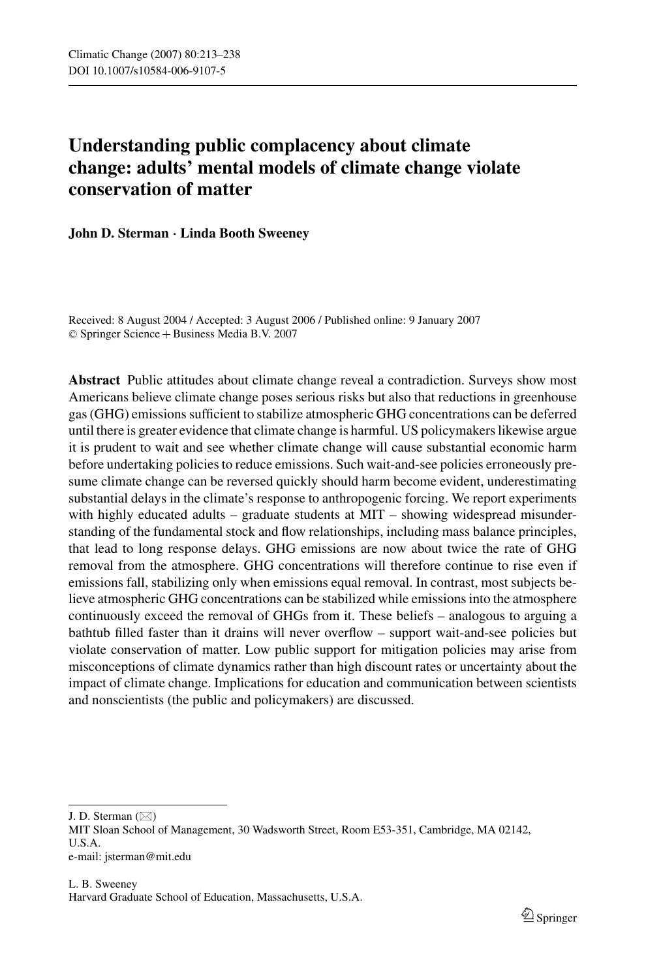# **Understanding public complacency about climate change: adults' mental models of climate change violate conservation of matter**

**John D. Sterman** *·* **Linda Booth Sweeney**

Received: 8 August 2004 / Accepted: 3 August 2006 / Published online: 9 January 2007 -<sup>C</sup> Springer Science + Business Media B.V. 2007

**Abstract** Public attitudes about climate change reveal a contradiction. Surveys show most Americans believe climate change poses serious risks but also that reductions in greenhouse gas (GHG) emissions sufficient to stabilize atmospheric GHG concentrations can be deferred until there is greater evidence that climate change is harmful. US policymakers likewise argue it is prudent to wait and see whether climate change will cause substantial economic harm before undertaking policies to reduce emissions. Such wait-and-see policies erroneously presume climate change can be reversed quickly should harm become evident, underestimating substantial delays in the climate's response to anthropogenic forcing. We report experiments with highly educated adults – graduate students at MIT – showing widespread misunderstanding of the fundamental stock and flow relationships, including mass balance principles, that lead to long response delays. GHG emissions are now about twice the rate of GHG removal from the atmosphere. GHG concentrations will therefore continue to rise even if emissions fall, stabilizing only when emissions equal removal. In contrast, most subjects believe atmospheric GHG concentrations can be stabilized while emissions into the atmosphere continuously exceed the removal of GHGs from it. These beliefs – analogous to arguing a bathtub filled faster than it drains will never overflow – support wait-and-see policies but violate conservation of matter. Low public support for mitigation policies may arise from misconceptions of climate dynamics rather than high discount rates or uncertainty about the impact of climate change. Implications for education and communication between scientists and nonscientists (the public and policymakers) are discussed.

L. B. Sweeney Harvard Graduate School of Education, Massachusetts, U.S.A.

J. D. Sterman  $(\boxtimes)$ 

MIT Sloan School of Management, 30 Wadsworth Street, Room E53-351, Cambridge, MA 02142, U.S.A. e-mail: jsterman@mit.edu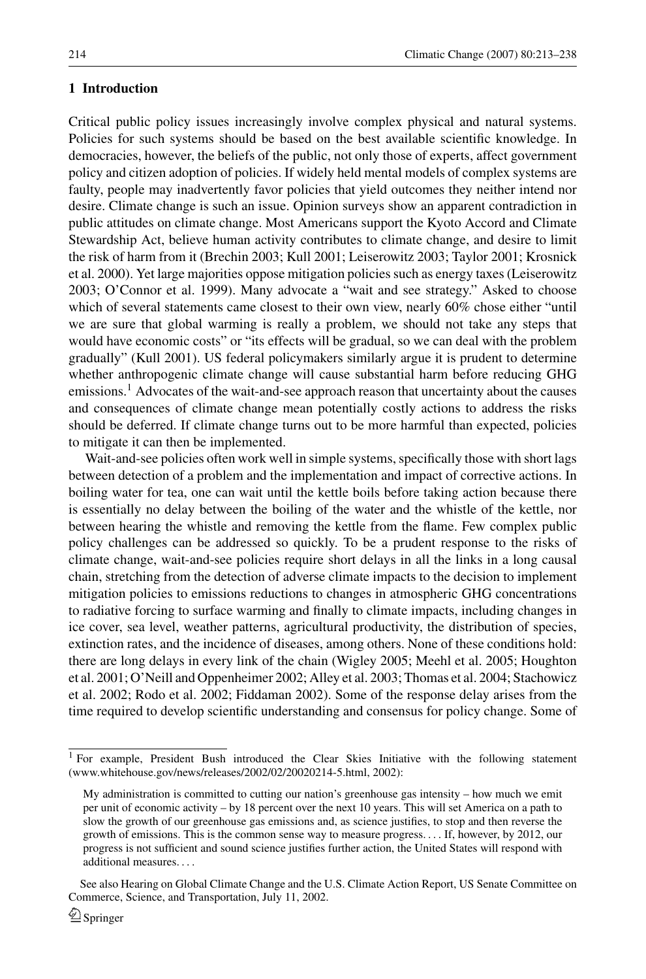## **1 Introduction**

Critical public policy issues increasingly involve complex physical and natural systems. Policies for such systems should be based on the best available scientific knowledge. In democracies, however, the beliefs of the public, not only those of experts, affect government policy and citizen adoption of policies. If widely held mental models of complex systems are faulty, people may inadvertently favor policies that yield outcomes they neither intend nor desire. Climate change is such an issue. Opinion surveys show an apparent contradiction in public attitudes on climate change. Most Americans support the Kyoto Accord and Climate Stewardship Act, believe human activity contributes to climate change, and desire to limit the risk of harm from it (Brechin 2003; Kull 2001; Leiserowitz 2003; Taylor 2001; Krosnick et al. 2000). Yet large majorities oppose mitigation policies such as energy taxes (Leiserowitz 2003; O'Connor et al. 1999). Many advocate a "wait and see strategy." Asked to choose which of several statements came closest to their own view, nearly 60% chose either "until we are sure that global warming is really a problem, we should not take any steps that would have economic costs" or "its effects will be gradual, so we can deal with the problem gradually" (Kull 2001). US federal policymakers similarly argue it is prudent to determine whether anthropogenic climate change will cause substantial harm before reducing GHG emissions.<sup>1</sup> Advocates of the wait-and-see approach reason that uncertainty about the causes and consequences of climate change mean potentially costly actions to address the risks should be deferred. If climate change turns out to be more harmful than expected, policies to mitigate it can then be implemented.

Wait-and-see policies often work well in simple systems, specifically those with short lags between detection of a problem and the implementation and impact of corrective actions. In boiling water for tea, one can wait until the kettle boils before taking action because there is essentially no delay between the boiling of the water and the whistle of the kettle, nor between hearing the whistle and removing the kettle from the flame. Few complex public policy challenges can be addressed so quickly. To be a prudent response to the risks of climate change, wait-and-see policies require short delays in all the links in a long causal chain, stretching from the detection of adverse climate impacts to the decision to implement mitigation policies to emissions reductions to changes in atmospheric GHG concentrations to radiative forcing to surface warming and finally to climate impacts, including changes in ice cover, sea level, weather patterns, agricultural productivity, the distribution of species, extinction rates, and the incidence of diseases, among others. None of these conditions hold: there are long delays in every link of the chain (Wigley 2005; Meehl et al. 2005; Houghton et al. 2001; O'Neill and Oppenheimer 2002; Alley et al. 2003; Thomas et al. 2004; Stachowicz et al. 2002; Rodo et al. 2002; Fiddaman 2002). Some of the response delay arises from the time required to develop scientific understanding and consensus for policy change. Some of

<sup>&</sup>lt;sup>1</sup> For example, President Bush introduced the Clear Skies Initiative with the following statement (www.whitehouse.gov/news/releases/2002/02/20020214-5.html, 2002):

My administration is committed to cutting our nation's greenhouse gas intensity – how much we emit per unit of economic activity – by 18 percent over the next 10 years. This will set America on a path to slow the growth of our greenhouse gas emissions and, as science justifies, to stop and then reverse the growth of emissions. This is the common sense way to measure progress. ... If, however, by 2012, our progress is not sufficient and sound science justifies further action, the United States will respond with additional measures. ...

See also Hearing on Global Climate Change and the U.S. Climate Action Report, US Senate Committee on Commerce, Science, and Transportation, July 11, 2002.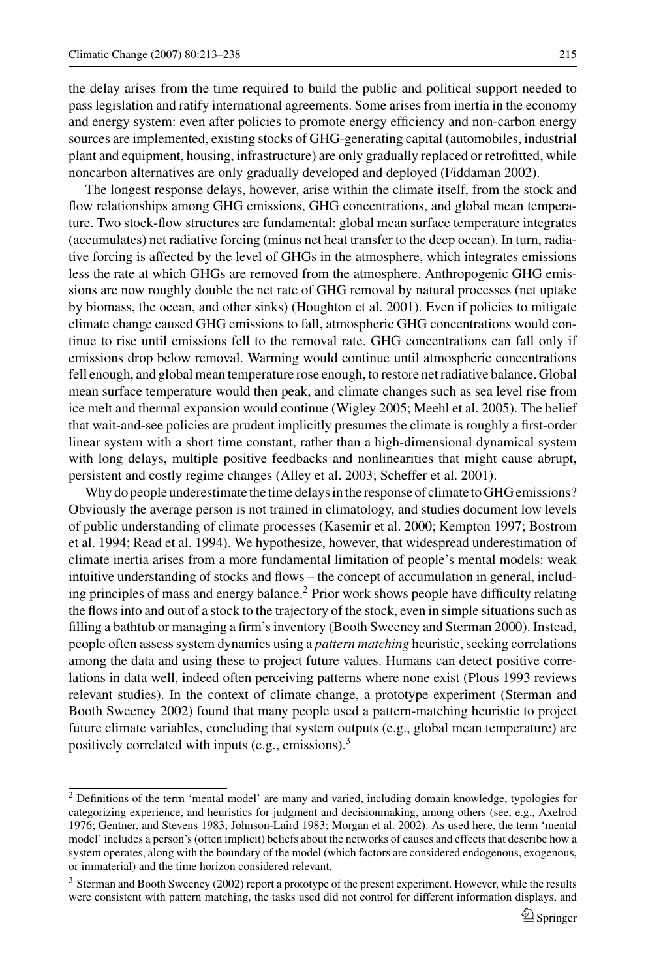the delay arises from the time required to build the public and political support needed to pass legislation and ratify international agreements. Some arises from inertia in the economy and energy system: even after policies to promote energy efficiency and non-carbon energy sources are implemented, existing stocks of GHG-generating capital (automobiles, industrial plant and equipment, housing, infrastructure) are only gradually replaced or retrofitted, while noncarbon alternatives are only gradually developed and deployed (Fiddaman 2002).

The longest response delays, however, arise within the climate itself, from the stock and flow relationships among GHG emissions, GHG concentrations, and global mean temperature. Two stock-flow structures are fundamental: global mean surface temperature integrates (accumulates) net radiative forcing (minus net heat transfer to the deep ocean). In turn, radiative forcing is affected by the level of GHGs in the atmosphere, which integrates emissions less the rate at which GHGs are removed from the atmosphere. Anthropogenic GHG emissions are now roughly double the net rate of GHG removal by natural processes (net uptake by biomass, the ocean, and other sinks) (Houghton et al. 2001). Even if policies to mitigate climate change caused GHG emissions to fall, atmospheric GHG concentrations would continue to rise until emissions fell to the removal rate. GHG concentrations can fall only if emissions drop below removal. Warming would continue until atmospheric concentrations fell enough, and global mean temperature rose enough, to restore net radiative balance. Global mean surface temperature would then peak, and climate changes such as sea level rise from ice melt and thermal expansion would continue (Wigley 2005; Meehl et al. 2005). The belief that wait-and-see policies are prudent implicitly presumes the climate is roughly a first-order linear system with a short time constant, rather than a high-dimensional dynamical system with long delays, multiple positive feedbacks and nonlinearities that might cause abrupt, persistent and costly regime changes (Alley et al. 2003; Scheffer et al. 2001).

Why do people underestimate the time delays in the response of climate to GHG emissions? Obviously the average person is not trained in climatology, and studies document low levels of public understanding of climate processes (Kasemir et al. 2000; Kempton 1997; Bostrom et al. 1994; Read et al. 1994). We hypothesize, however, that widespread underestimation of climate inertia arises from a more fundamental limitation of people's mental models: weak intuitive understanding of stocks and flows – the concept of accumulation in general, including principles of mass and energy balance.<sup>2</sup> Prior work shows people have difficulty relating the flows into and out of a stock to the trajectory of the stock, even in simple situations such as filling a bathtub or managing a firm's inventory (Booth Sweeney and Sterman 2000). Instead, people often assess system dynamics using a *pattern matching* heuristic, seeking correlations among the data and using these to project future values. Humans can detect positive correlations in data well, indeed often perceiving patterns where none exist (Plous 1993 reviews relevant studies). In the context of climate change, a prototype experiment (Sterman and Booth Sweeney 2002) found that many people used a pattern-matching heuristic to project future climate variables, concluding that system outputs (e.g., global mean temperature) are positively correlated with inputs (e.g., emissions). $3$ 

<sup>2</sup> Definitions of the term 'mental model' are many and varied, including domain knowledge, typologies for categorizing experience, and heuristics for judgment and decisionmaking, among others (see, e.g., Axelrod 1976; Gentner, and Stevens 1983; Johnson-Laird 1983; Morgan et al. 2002). As used here, the term 'mental model' includes a person's (often implicit) beliefs about the networks of causes and effects that describe how a system operates, along with the boundary of the model (which factors are considered endogenous, exogenous, or immaterial) and the time horizon considered relevant.

<sup>&</sup>lt;sup>3</sup> Sterman and Booth Sweeney (2002) report a prototype of the present experiment. However, while the results were consistent with pattern matching, the tasks used did not control for different information displays, and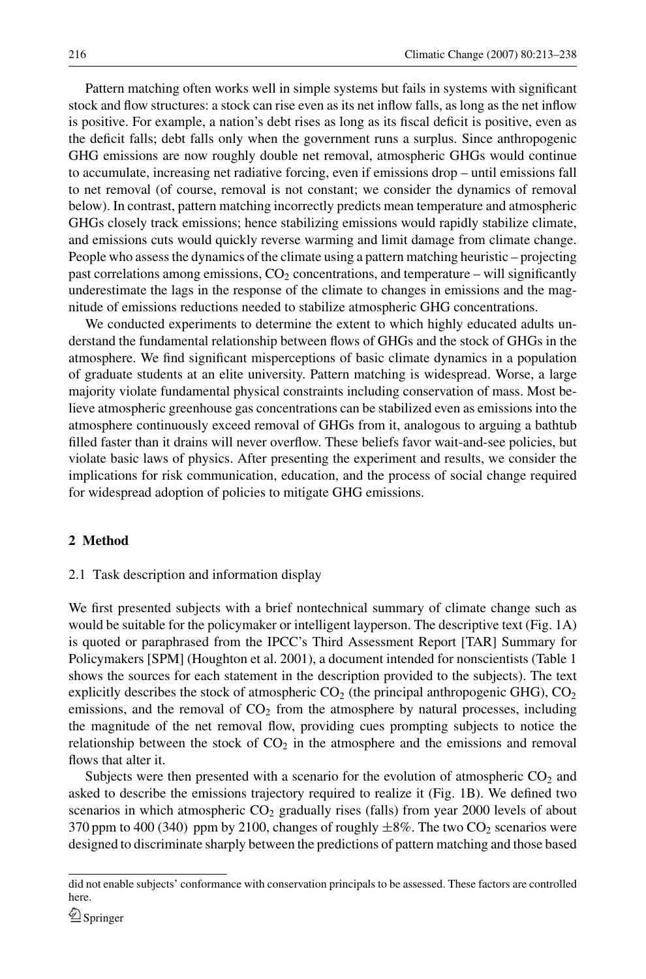Pattern matching often works well in simple systems but fails in systems with significant stock and flow structures: a stock can rise even as its net inflow falls, as long as the net inflow is positive. For example, a nation's debt rises as long as its fiscal deficit is positive, even as the deficit falls; debt falls only when the government runs a surplus. Since anthropogenic GHG emissions are now roughly double net removal, atmospheric GHGs would continue to accumulate, increasing net radiative forcing, even if emissions drop – until emissions fall to net removal (of course, removal is not constant; we consider the dynamics of removal below). In contrast, pattern matching incorrectly predicts mean temperature and atmospheric GHGs closely track emissions; hence stabilizing emissions would rapidly stabilize climate, and emissions cuts would quickly reverse warming and limit damage from climate change. People who assess the dynamics of the climate using a pattern matching heuristic – projecting past correlations among emissions,  $CO<sub>2</sub>$  concentrations, and temperature – will significantly underestimate the lags in the response of the climate to changes in emissions and the magnitude of emissions reductions needed to stabilize atmospheric GHG concentrations.

We conducted experiments to determine the extent to which highly educated adults understand the fundamental relationship between flows of GHGs and the stock of GHGs in the atmosphere. We find significant misperceptions of basic climate dynamics in a population of graduate students at an elite university. Pattern matching is widespread. Worse, a large majority violate fundamental physical constraints including conservation of mass. Most believe atmospheric greenhouse gas concentrations can be stabilized even as emissions into the atmosphere continuously exceed removal of GHGs from it, analogous to arguing a bathtub filled faster than it drains will never overflow. These beliefs favor wait-and-see policies, but violate basic laws of physics. After presenting the experiment and results, we consider the implications for risk communication, education, and the process of social change required for widespread adoption of policies to mitigate GHG emissions.

#### **2 Method**

## 2.1 Task description and information display

We first presented subjects with a brief nontechnical summary of climate change such as would be suitable for the policymaker or intelligent layperson. The descriptive text (Fig. 1A) is quoted or paraphrased from the IPCC's Third Assessment Report [TAR] Summary for Policymakers [SPM] (Houghton et al. 2001), a document intended for nonscientists (Table 1 shows the sources for each statement in the description provided to the subjects). The text explicitly describes the stock of atmospheric  $CO<sub>2</sub>$  (the principal anthropogenic GHG),  $CO<sub>2</sub>$ emissions, and the removal of  $CO<sub>2</sub>$  from the atmosphere by natural processes, including the magnitude of the net removal flow, providing cues prompting subjects to notice the relationship between the stock of  $CO<sub>2</sub>$  in the atmosphere and the emissions and removal flows that alter it.

Subjects were then presented with a scenario for the evolution of atmospheric  $CO<sub>2</sub>$  and asked to describe the emissions trajectory required to realize it (Fig. 1B). We defined two scenarios in which atmospheric  $CO<sub>2</sub>$  gradually rises (falls) from year 2000 levels of about 370 ppm to 400 (340) ppm by 2100, changes of roughly  $\pm 8\%$ . The two CO<sub>2</sub> scenarios were designed to discriminate sharply between the predictions of pattern matching and those based

did not enable subjects' conformance with conservation principals to be assessed. These factors are controlled here.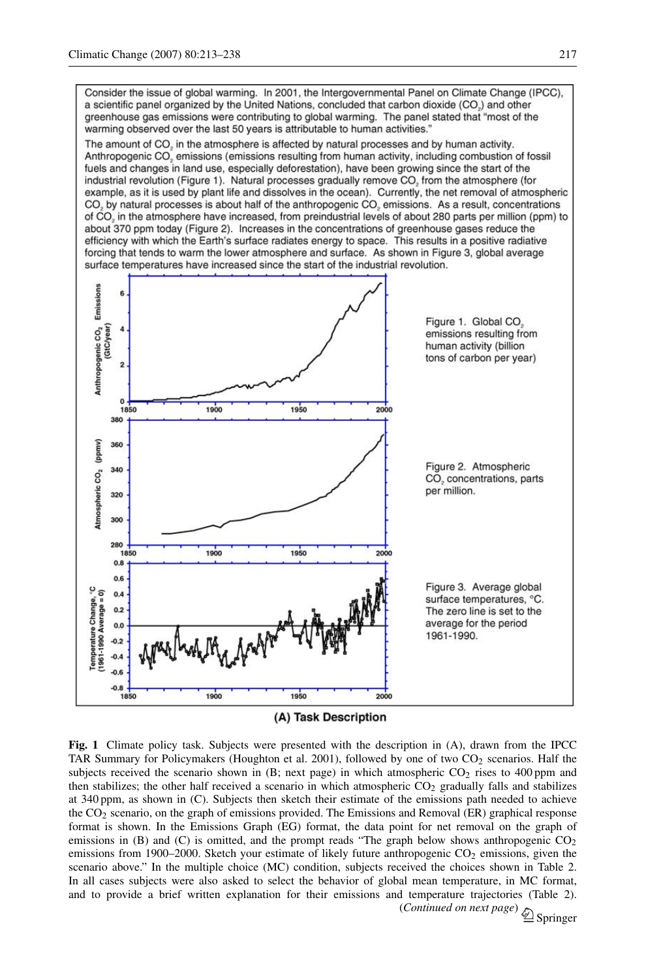Consider the issue of global warming. In 2001, the Intergovernmental Panel on Climate Change (IPCC). a scientific panel organized by the United Nations, concluded that carbon dioxide (CO.) and other greenhouse gas emissions were contributing to global warming. The panel stated that "most of the warming observed over the last 50 years is attributable to human activities."

The amount of CO, in the atmosphere is affected by natural processes and by human activity. Anthropogenic CO<sub>s</sub> emissions (emissions resulting from human activity, including combustion of fossil fuels and changes in land use, especially deforestation), have been growing since the start of the industrial revolution (Figure 1). Natural processes gradually remove CO, from the atmosphere (for example, as it is used by plant life and dissolves in the ocean). Currently, the net removal of atmospheric CO, by natural processes is about half of the anthropogenic CO, emissions. As a result, concentrations of CO, in the atmosphere have increased, from preindustrial levels of about 280 parts per million (ppm) to about 370 ppm today (Figure 2). Increases in the concentrations of greenhouse gases reduce the efficiency with which the Earth's surface radiates energy to space. This results in a positive radiative forcing that tends to warm the lower atmosphere and surface. As shown in Figure 3, global average surface temperatures have increased since the start of the industrial revolution.





**Fig. 1** Climate policy task. Subjects were presented with the description in (A), drawn from the IPCC TAR Summary for Policymakers (Houghton et al. 2001), followed by one of two  $CO_2$  scenarios. Half the subjects received the scenario shown in  $(B; next page)$  in which atmospheric  $CO<sub>2</sub>$  rises to 400 ppm and then stabilizes; the other half received a scenario in which atmospheric  $CO<sub>2</sub>$  gradually falls and stabilizes at 340 ppm, as shown in (C). Subjects then sketch their estimate of the emissions path needed to achieve the CO2 scenario, on the graph of emissions provided. The Emissions and Removal (ER) graphical response format is shown. In the Emissions Graph (EG) format, the data point for net removal on the graph of emissions in  $(B)$  and  $(C)$  is omitted, and the prompt reads "The graph below shows anthropogenic  $CO<sub>2</sub>$ emissions from 1900–2000. Sketch your estimate of likely future anthropogenic  $CO<sub>2</sub>$  emissions, given the scenario above." In the multiple choice (MC) condition, subjects received the choices shown in Table 2. In all cases subjects were also asked to select the behavior of global mean temperature, in MC format, and to provide a brief written explanation for their emissions and temperature trajectories (Table 2). (*Continued on next page*)

 $\mathcal{Q}_{\text{Springer}}$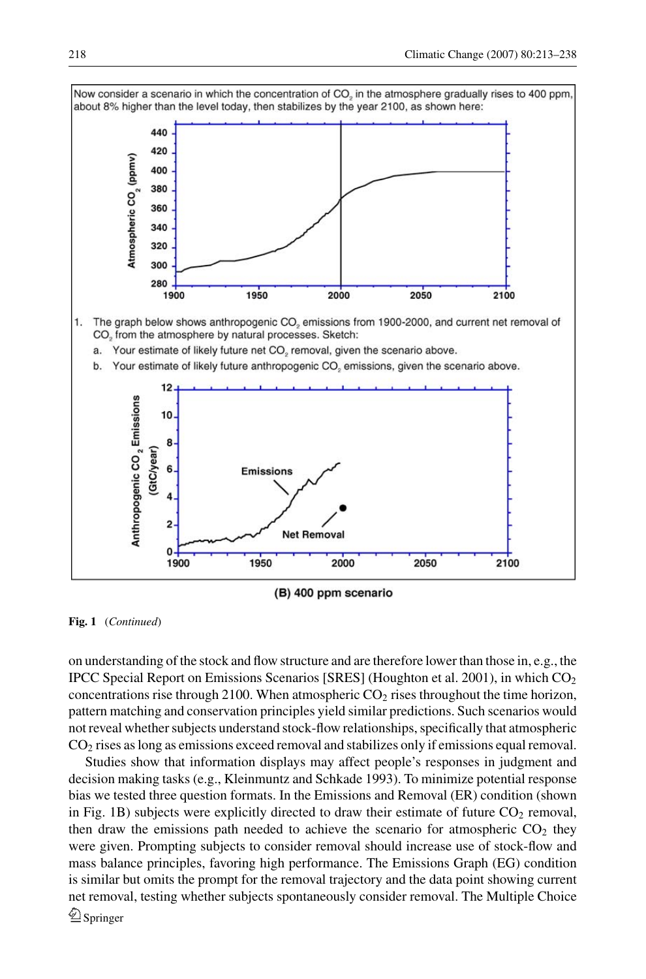



**Fig. 1** (*Continued*)

on understanding of the stock and flow structure and are therefore lower than those in, e.g., the IPCC Special Report on Emissions Scenarios [SRES] (Houghton et al. 2001), in which  $CO<sub>2</sub>$ concentrations rise through 2100. When atmospheric  $CO<sub>2</sub>$  rises throughout the time horizon, pattern matching and conservation principles yield similar predictions. Such scenarios would not reveal whether subjects understand stock-flow relationships, specifically that atmospheric CO2 rises as long as emissions exceed removal and stabilizes only if emissions equal removal.

Studies show that information displays may affect people's responses in judgment and decision making tasks (e.g., Kleinmuntz and Schkade 1993). To minimize potential response bias we tested three question formats. In the Emissions and Removal (ER) condition (shown in Fig. 1B) subjects were explicitly directed to draw their estimate of future  $CO<sub>2</sub>$  removal, then draw the emissions path needed to achieve the scenario for atmospheric  $CO<sub>2</sub>$  they were given. Prompting subjects to consider removal should increase use of stock-flow and mass balance principles, favoring high performance. The Emissions Graph (EG) condition is similar but omits the prompt for the removal trajectory and the data point showing current net removal, testing whether subjects spontaneously consider removal. The Multiple Choice  $\hat{Z}$ Springer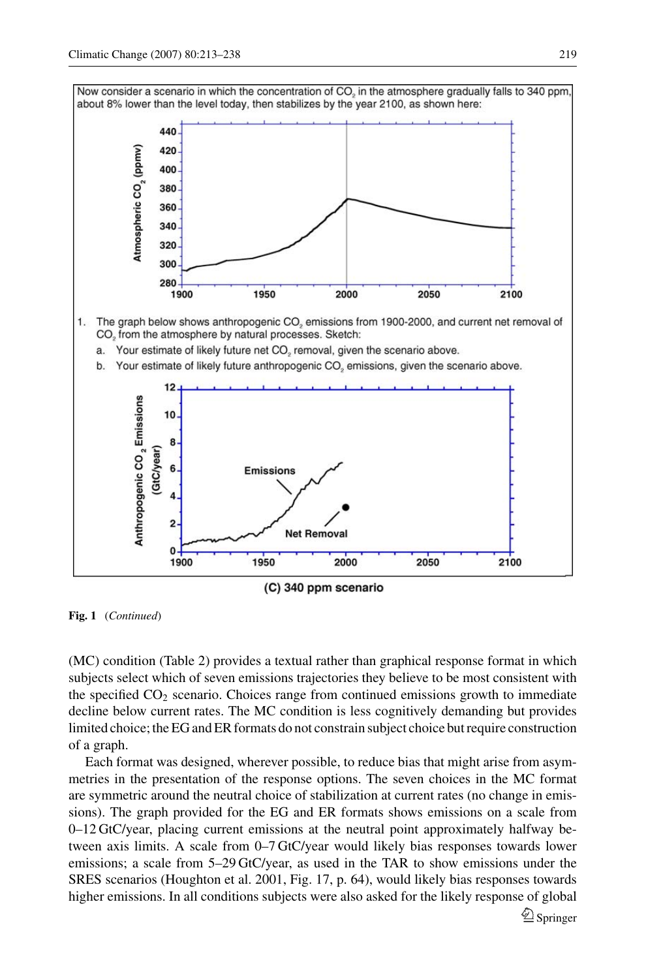

**Fig. 1** (*Continued*)

(MC) condition (Table 2) provides a textual rather than graphical response format in which subjects select which of seven emissions trajectories they believe to be most consistent with the specified  $CO<sub>2</sub>$  scenario. Choices range from continued emissions growth to immediate decline below current rates. The MC condition is less cognitively demanding but provides limited choice; the EG and ER formats do not constrain subject choice but require construction of a graph.

Each format was designed, wherever possible, to reduce bias that might arise from asymmetries in the presentation of the response options. The seven choices in the MC format are symmetric around the neutral choice of stabilization at current rates (no change in emissions). The graph provided for the EG and ER formats shows emissions on a scale from 0–12 GtC/year, placing current emissions at the neutral point approximately halfway between axis limits. A scale from 0–7 GtC/year would likely bias responses towards lower emissions; a scale from 5–29 GtC/year, as used in the TAR to show emissions under the SRES scenarios (Houghton et al. 2001, Fig. 17, p. 64), would likely bias responses towards higher emissions. In all conditions subjects were also asked for the likely response of global  $\mathcal{Q}_{\text{Springer}}$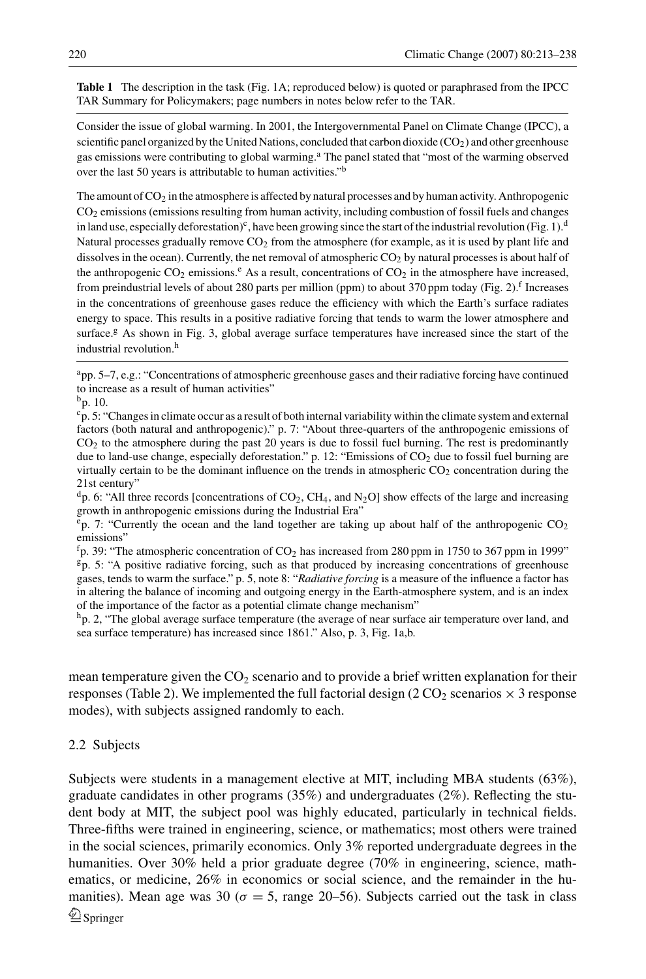**Table 1** The description in the task (Fig. 1A; reproduced below) is quoted or paraphrased from the IPCC TAR Summary for Policymakers; page numbers in notes below refer to the TAR.

Consider the issue of global warming. In 2001, the Intergovernmental Panel on Climate Change (IPCC), a scientific panel organized by the United Nations, concluded that carbon dioxide  $(CO<sub>2</sub>)$  and other greenhouse gas emissions were contributing to global warming.<sup>a</sup> The panel stated that "most of the warming observed over the last 50 years is attributable to human activities."<sup>b</sup>

The amount of CO<sub>2</sub> in the atmosphere is affected by natural processes and by human activity. Anthropogenic CO2 emissions (emissions resulting from human activity, including combustion of fossil fuels and changes in land use, especially deforestation)<sup>c</sup>, have been growing since the start of the industrial revolution (Fig. 1).<sup>d</sup> Natural processes gradually remove CO<sub>2</sub> from the atmosphere (for example, as it is used by plant life and dissolves in the ocean). Currently, the net removal of atmospheric  $CO<sub>2</sub>$  by natural processes is about half of the anthropogenic  $CO_2$  emissions.<sup>e</sup> As a result, concentrations of  $CO_2$  in the atmosphere have increased, from preindustrial levels of about 280 parts per million (ppm) to about 370 ppm today (Fig. 2).<sup>f</sup> Increases in the concentrations of greenhouse gases reduce the efficiency with which the Earth's surface radiates energy to space. This results in a positive radiative forcing that tends to warm the lower atmosphere and surface.<sup>g</sup> As shown in Fig. 3, global average surface temperatures have increased since the start of the industrial revolution.<sup>h</sup>

 $a_{\rm pp.}$  5–7, e.g.: "Concentrations of atmospheric greenhouse gases and their radiative forcing have continued to increase as a result of human activities"

 $c_{p.}$  5: "Changes in climate occur as a result of both internal variability within the climate system and external factors (both natural and anthropogenic)." p. 7: "About three-quarters of the anthropogenic emissions of  $CO<sub>2</sub>$  to the atmosphere during the past 20 years is due to fossil fuel burning. The rest is predominantly due to land-use change, especially deforestation."  $p. 12$ : "Emissions of  $CO<sub>2</sub>$  due to fossil fuel burning are virtually certain to be the dominant influence on the trends in atmospheric  $CO<sub>2</sub>$  concentration during the 21st century"

 $d_p$ . 6: "All three records [concentrations of CO<sub>2</sub>, CH<sub>4</sub>, and N<sub>2</sub>O] show effects of the large and increasing growth in anthropogenic emissions during the Industrial Era"

 $e_p$ . 7: "Currently the ocean and the land together are taking up about half of the anthropogenic CO<sub>2</sub> emissions"

<sup>f</sup>p. 39: "The atmospheric concentration of CO<sub>2</sub> has increased from 280 ppm in 1750 to 367 ppm in 1999"  $\epsilon_{\rm p}$ . 5: "A positive radiative forcing, such as that produced by increasing concentrations of greenhouse gases, tends to warm the surface." p. 5, note 8: "*Radiative forcing* is a measure of the influence a factor has in altering the balance of incoming and outgoing energy in the Earth-atmosphere system, and is an index of the importance of the factor as a potential climate change mechanism"

<sup>h</sup>p. 2, "The global average surface temperature (the average of near surface air temperature over land, and sea surface temperature) has increased since 1861." Also, p. 3, Fig. 1a,b.

mean temperature given the  $CO<sub>2</sub>$  scenario and to provide a brief written explanation for their responses (Table 2). We implemented the full factorial design (2 CO<sub>2</sub> scenarios  $\times$  3 response modes), with subjects assigned randomly to each.

#### 2.2 Subjects

Subjects were students in a management elective at MIT, including MBA students (63%), graduate candidates in other programs  $(35%)$  and undergraduates  $(2%)$ . Reflecting the student body at MIT, the subject pool was highly educated, particularly in technical fields. Three-fifths were trained in engineering, science, or mathematics; most others were trained in the social sciences, primarily economics. Only 3% reported undergraduate degrees in the humanities. Over 30% held a prior graduate degree (70% in engineering, science, mathematics, or medicine, 26% in economics or social science, and the remainder in the humanities). Mean age was 30 ( $\sigma = 5$ , range 20–56). Subjects carried out the task in class  $\mathcal{Q}_{\text{Springer}}$ 

 $b$ p. 10.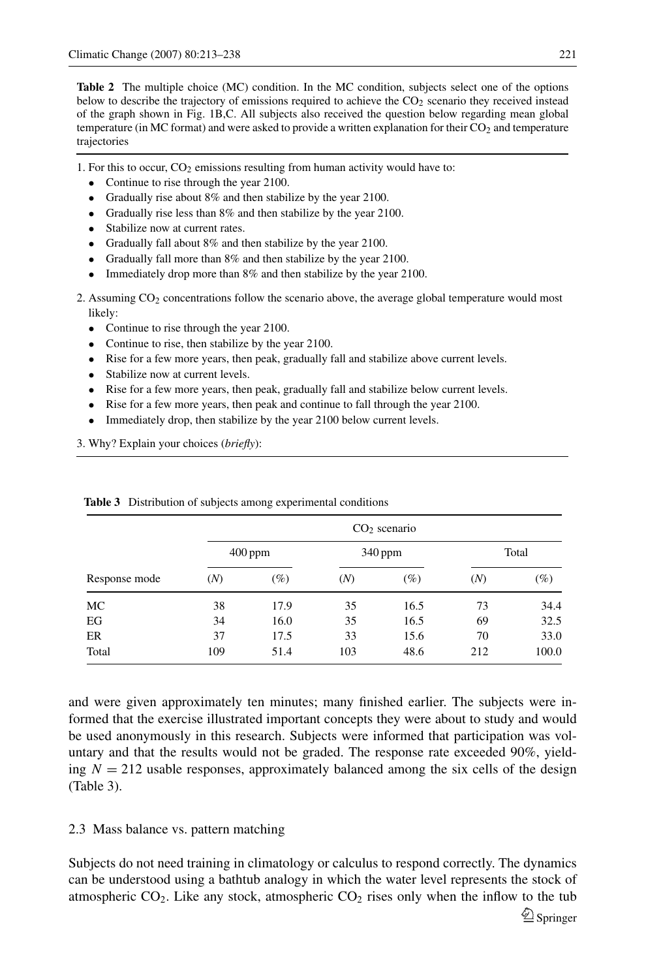**Table 2** The multiple choice (MC) condition. In the MC condition, subjects select one of the options below to describe the trajectory of emissions required to achieve the  $CO<sub>2</sub>$  scenario they received instead of the graph shown in Fig. 1B,C. All subjects also received the question below regarding mean global temperature (in MC format) and were asked to provide a written explanation for their  $CO<sub>2</sub>$  and temperature trajectories

1. For this to occur,  $CO<sub>2</sub>$  emissions resulting from human activity would have to:

- Continue to rise through the year 2100.
- Gradually rise about 8% and then stabilize by the year 2100.
- Gradually rise less than 8% and then stabilize by the year 2100.
- Stabilize now at current rates.
- Gradually fall about 8% and then stabilize by the year 2100.
- Gradually fall more than 8% and then stabilize by the year 2100.
- Immediately drop more than 8% and then stabilize by the year 2100.
- 2. Assuming  $CO<sub>2</sub>$  concentrations follow the scenario above, the average global temperature would most likely:
	- Continue to rise through the year 2100.
	- Continue to rise, then stabilize by the year 2100.
	- Rise for a few more years, then peak, gradually fall and stabilize above current levels.
	- Stabilize now at current levels.
	- Rise for a few more years, then peak, gradually fall and stabilize below current levels.
	- Rise for a few more years, then peak and continue to fall through the year 2100.
	- Immediately drop, then stabilize by the year 2100 below current levels.

3. Why? Explain your choices (*briefly*):

|               |     |           |     | $CO2$ scenario |     |        |
|---------------|-----|-----------|-----|----------------|-----|--------|
|               |     | $400$ ppm |     | $340$ ppm      |     | Total  |
| Response mode | (N) | $(\%)$    | (N) | $(\%)$         | (N) | $(\%)$ |
| МC            | 38  | 17.9      | 35  | 16.5           | 73  | 34.4   |
| EG            | 34  | 16.0      | 35  | 16.5           | 69  | 32.5   |
| ER            | 37  | 17.5      | 33  | 15.6           | 70  | 33.0   |
| Total         | 109 | 51.4      | 103 | 48.6           | 212 | 100.0  |

**Table 3** Distribution of subjects among experimental conditions

and were given approximately ten minutes; many finished earlier. The subjects were informed that the exercise illustrated important concepts they were about to study and would be used anonymously in this research. Subjects were informed that participation was voluntary and that the results would not be graded. The response rate exceeded 90%, yielding  $N = 212$  usable responses, approximately balanced among the six cells of the design (Table 3).

# 2.3 Mass balance vs. pattern matching

Subjects do not need training in climatology or calculus to respond correctly. The dynamics can be understood using a bathtub analogy in which the water level represents the stock of atmospheric  $CO<sub>2</sub>$ . Like any stock, atmospheric  $CO<sub>2</sub>$  rises only when the inflow to the tub  $\mathcal{Q}_{\text{Springer}}$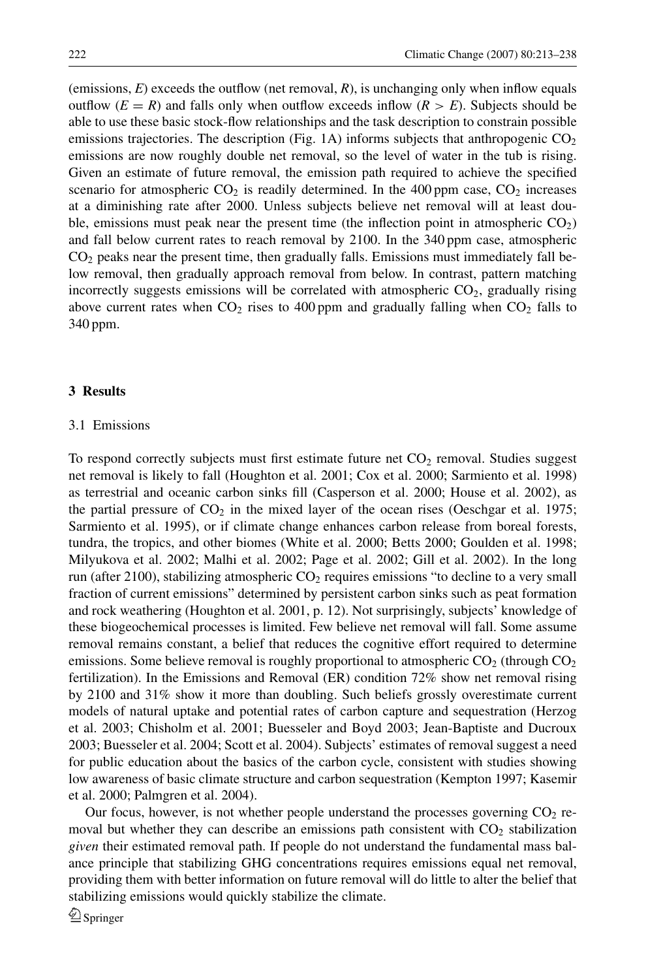(emissions,  $E$ ) exceeds the outflow (net removal,  $R$ ), is unchanging only when inflow equals outflow  $(E = R)$  and falls only when outflow exceeds inflow  $(R > E)$ . Subjects should be able to use these basic stock-flow relationships and the task description to constrain possible emissions trajectories. The description (Fig. 1A) informs subjects that anthropogenic  $CO<sub>2</sub>$ emissions are now roughly double net removal, so the level of water in the tub is rising. Given an estimate of future removal, the emission path required to achieve the specified scenario for atmospheric  $CO<sub>2</sub>$  is readily determined. In the 400 ppm case,  $CO<sub>2</sub>$  increases at a diminishing rate after 2000. Unless subjects believe net removal will at least double, emissions must peak near the present time (the inflection point in atmospheric  $CO<sub>2</sub>$ ) and fall below current rates to reach removal by 2100. In the 340 ppm case, atmospheric CO2 peaks near the present time, then gradually falls. Emissions must immediately fall below removal, then gradually approach removal from below. In contrast, pattern matching incorrectly suggests emissions will be correlated with atmospheric  $CO<sub>2</sub>$ , gradually rising above current rates when  $CO<sub>2</sub>$  rises to 400 ppm and gradually falling when  $CO<sub>2</sub>$  falls to 340 ppm.

#### **3 Results**

#### 3.1 Emissions

To respond correctly subjects must first estimate future net  $CO<sub>2</sub>$  removal. Studies suggest net removal is likely to fall (Houghton et al. 2001; Cox et al. 2000; Sarmiento et al. 1998) as terrestrial and oceanic carbon sinks fill (Casperson et al. 2000; House et al. 2002), as the partial pressure of  $CO<sub>2</sub>$  in the mixed layer of the ocean rises (Oeschgar et al. 1975; Sarmiento et al. 1995), or if climate change enhances carbon release from boreal forests, tundra, the tropics, and other biomes (White et al. 2000; Betts 2000; Goulden et al. 1998; Milyukova et al. 2002; Malhi et al. 2002; Page et al. 2002; Gill et al. 2002). In the long run (after 2100), stabilizing atmospheric  $CO<sub>2</sub>$  requires emissions "to decline to a very small fraction of current emissions" determined by persistent carbon sinks such as peat formation and rock weathering (Houghton et al. 2001, p. 12). Not surprisingly, subjects' knowledge of these biogeochemical processes is limited. Few believe net removal will fall. Some assume removal remains constant, a belief that reduces the cognitive effort required to determine emissions. Some believe removal is roughly proportional to atmospheric  $CO<sub>2</sub>$  (through  $CO<sub>2</sub>$ fertilization). In the Emissions and Removal (ER) condition 72% show net removal rising by 2100 and 31% show it more than doubling. Such beliefs grossly overestimate current models of natural uptake and potential rates of carbon capture and sequestration (Herzog et al. 2003; Chisholm et al. 2001; Buesseler and Boyd 2003; Jean-Baptiste and Ducroux 2003; Buesseler et al. 2004; Scott et al. 2004). Subjects' estimates of removal suggest a need for public education about the basics of the carbon cycle, consistent with studies showing low awareness of basic climate structure and carbon sequestration (Kempton 1997; Kasemir et al. 2000; Palmgren et al. 2004).

Our focus, however, is not whether people understand the processes governing  $CO<sub>2</sub>$  removal but whether they can describe an emissions path consistent with  $CO<sub>2</sub>$  stabilization *given* their estimated removal path. If people do not understand the fundamental mass balance principle that stabilizing GHG concentrations requires emissions equal net removal, providing them with better information on future removal will do little to alter the belief that stabilizing emissions would quickly stabilize the climate.

 $\mathcal{Q}_{\text{Springer}}$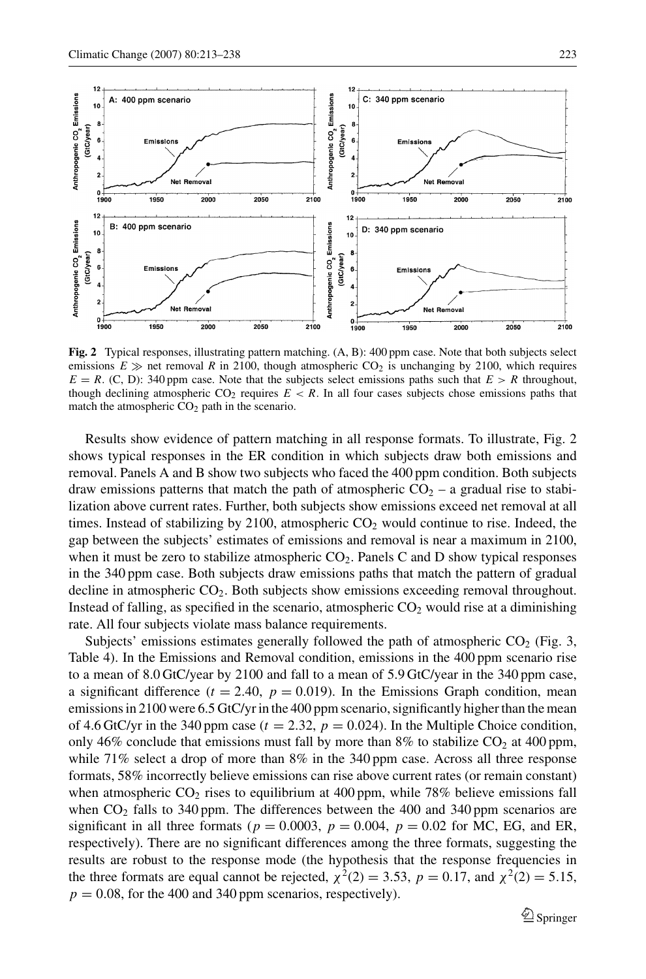

**Fig. 2** Typical responses, illustrating pattern matching. (A, B): 400 ppm case. Note that both subjects select emissions  $E \gg$  net removal *R* in 2100, though atmospheric CO<sub>2</sub> is unchanging by 2100, which requires  $E = R$ . (C, D): 340 ppm case. Note that the subjects select emissions paths such that  $E > R$  throughout, though declining atmospheric  $CO_2$  requires  $E \le R$ . In all four cases subjects chose emissions paths that match the atmospheric  $CO<sub>2</sub>$  path in the scenario.

Results show evidence of pattern matching in all response formats. To illustrate, Fig. 2 shows typical responses in the ER condition in which subjects draw both emissions and removal. Panels A and B show two subjects who faced the 400 ppm condition. Both subjects draw emissions patterns that match the path of atmospheric  $CO<sub>2</sub> - a$  gradual rise to stabilization above current rates. Further, both subjects show emissions exceed net removal at all times. Instead of stabilizing by 2100, atmospheric  $CO<sub>2</sub>$  would continue to rise. Indeed, the gap between the subjects' estimates of emissions and removal is near a maximum in 2100, when it must be zero to stabilize atmospheric  $CO<sub>2</sub>$ . Panels C and D show typical responses in the 340 ppm case. Both subjects draw emissions paths that match the pattern of gradual decline in atmospheric CO<sub>2</sub>. Both subjects show emissions exceeding removal throughout. Instead of falling, as specified in the scenario, atmospheric  $CO<sub>2</sub>$  would rise at a diminishing rate. All four subjects violate mass balance requirements.

Subjects' emissions estimates generally followed the path of atmospheric  $CO<sub>2</sub>$  (Fig. 3, Table 4). In the Emissions and Removal condition, emissions in the 400 ppm scenario rise to a mean of 8.0 GtC/year by 2100 and fall to a mean of 5.9 GtC/year in the 340 ppm case, a significant difference  $(t = 2.40, p = 0.019)$ . In the Emissions Graph condition, mean emissions in 2100 were 6.5 GtC/yr in the 400 ppm scenario, significantly higher than the mean of 4.6 GtC/yr in the 340 ppm case  $(t = 2.32, p = 0.024)$ . In the Multiple Choice condition, only 46% conclude that emissions must fall by more than 8% to stabilize  $CO<sub>2</sub>$  at 400 ppm, while  $71\%$  select a drop of more than  $8\%$  in the 340 ppm case. Across all three response formats, 58% incorrectly believe emissions can rise above current rates (or remain constant) when atmospheric  $CO<sub>2</sub>$  rises to equilibrium at 400 ppm, while 78% believe emissions fall when  $CO<sub>2</sub>$  falls to 340 ppm. The differences between the 400 and 340 ppm scenarios are significant in all three formats ( $p = 0.0003$ ,  $p = 0.004$ ,  $p = 0.02$  for MC, EG, and ER, respectively). There are no significant differences among the three formats, suggesting the results are robust to the response mode (the hypothesis that the response frequencies in the three formats are equal cannot be rejected,  $\chi^2(2) = 3.53$ ,  $p = 0.17$ , and  $\chi^2(2) = 5.15$ ,  $p = 0.08$ , for the 400 and 340 ppm scenarios, respectively).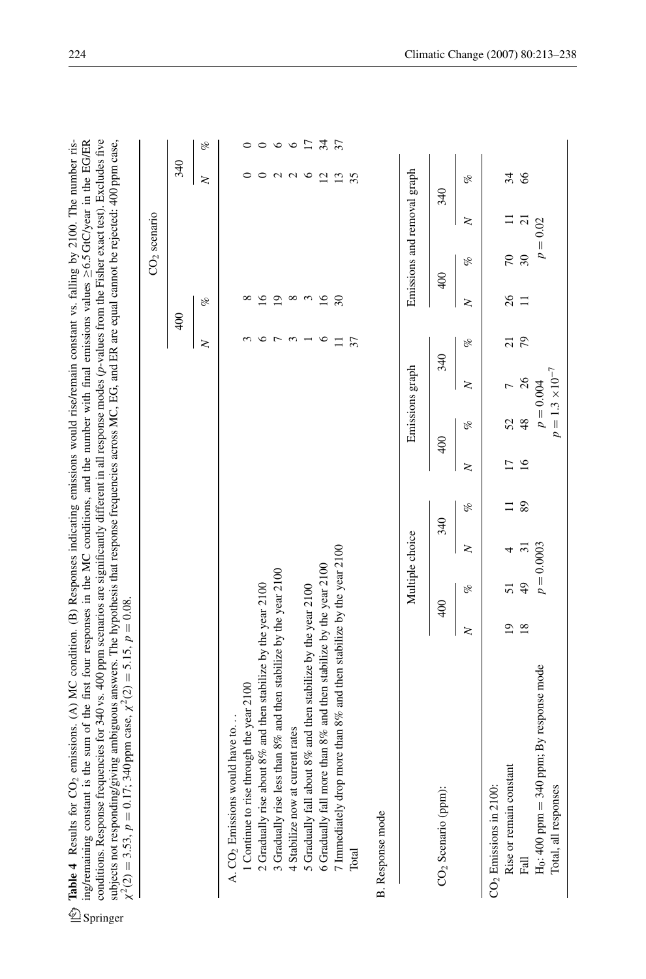| Table 4 Results for CO <sub>2</sub> emissions. (A) MC condition. (B) Responses indicating emissions would rise/remain constant vs. falling by 2100. The number ris-<br>conditions. Response frequencies for 340 vs. 400 ppm scenarios are significantly different in all response modes (p-values from the Fisher exact test). Excludes five<br>subjects not responding/giving ambiguous answers. The hypothesis that response frequencies across MC, EG, and ER are equal cannot be rejected: 400 ppm case,<br>is the sum of the first four responses in the MC conditions, and the number with final emissions values $\geq 6.5$ GtC/year in the EG/ER<br>$\chi^2(2) = 3.53$ , $p = 0.17$ ; 340 ppm case, $\chi^2(2) = 5.15$ , $p = 0.08$ .<br>ing/remaining constant |                 |               |                 |          |                 |     |                                         |                |                 | $CO2$ scenario              |                |                   |                |
|-------------------------------------------------------------------------------------------------------------------------------------------------------------------------------------------------------------------------------------------------------------------------------------------------------------------------------------------------------------------------------------------------------------------------------------------------------------------------------------------------------------------------------------------------------------------------------------------------------------------------------------------------------------------------------------------------------------------------------------------------------------------------|-----------------|---------------|-----------------|----------|-----------------|-----|-----------------------------------------|----------------|-----------------|-----------------------------|----------------|-------------------|----------------|
|                                                                                                                                                                                                                                                                                                                                                                                                                                                                                                                                                                                                                                                                                                                                                                         |                 |               |                 |          |                 |     |                                         |                | 400             |                             |                | 340               |                |
|                                                                                                                                                                                                                                                                                                                                                                                                                                                                                                                                                                                                                                                                                                                                                                         |                 |               |                 |          |                 |     |                                         | Z              | of              |                             |                | $\geq$            | of             |
| Continue to rise through the year 2100<br>A. $CO2$ Emissions would have to                                                                                                                                                                                                                                                                                                                                                                                                                                                                                                                                                                                                                                                                                              |                 |               |                 |          |                 |     |                                         |                | ∞               |                             |                |                   | $\circ$        |
| 2 Gradually rise about 8% and then stabilize by the year 2100                                                                                                                                                                                                                                                                                                                                                                                                                                                                                                                                                                                                                                                                                                           |                 |               |                 |          |                 |     |                                         | ७              | ≌               |                             |                |                   | $\circ$        |
| 3 Gradually rise less than 8% and then stabilize by the year 2100                                                                                                                                                                                                                                                                                                                                                                                                                                                                                                                                                                                                                                                                                                       |                 |               |                 |          |                 |     |                                         | $\overline{ }$ | ⊵               |                             |                | $\mathbf{\Omega}$ | $\circ$        |
| 4 Stabilize now at current rates                                                                                                                                                                                                                                                                                                                                                                                                                                                                                                                                                                                                                                                                                                                                        |                 |               |                 |          |                 |     |                                         | $\epsilon$     | $^{\circ}$      |                             |                | $\mathbf{\Omega}$ |                |
| 5 Gradually fall about 8% and then stabilize by the year 2100                                                                                                                                                                                                                                                                                                                                                                                                                                                                                                                                                                                                                                                                                                           |                 |               |                 |          |                 |     |                                         |                | $\epsilon$      |                             |                | ٥                 | $\overline{1}$ |
| 6 Gradually fall more than 8% and then stabilize by the year 2100                                                                                                                                                                                                                                                                                                                                                                                                                                                                                                                                                                                                                                                                                                       |                 |               |                 |          |                 |     |                                         | ७              | $\overline{16}$ |                             |                | $\bar{\omega}$    | 34             |
| op more than 8% and then stabilize by the year 2100<br>7 Immediately dr                                                                                                                                                                                                                                                                                                                                                                                                                                                                                                                                                                                                                                                                                                 |                 |               |                 |          |                 |     |                                         | ニ              | $30\,$          |                             |                | 13                | 37             |
| Total                                                                                                                                                                                                                                                                                                                                                                                                                                                                                                                                                                                                                                                                                                                                                                   |                 |               |                 |          |                 |     |                                         | 37             |                 |                             |                | 35                |                |
| <b>B.</b> Response mode                                                                                                                                                                                                                                                                                                                                                                                                                                                                                                                                                                                                                                                                                                                                                 |                 |               |                 |          |                 |     |                                         |                |                 |                             |                |                   |                |
|                                                                                                                                                                                                                                                                                                                                                                                                                                                                                                                                                                                                                                                                                                                                                                         |                 |               | Multiple choice |          |                 |     | Emissions graph                         |                |                 | Emissions and removal graph |                |                   |                |
| CO <sub>2</sub> Scenario (ppm)                                                                                                                                                                                                                                                                                                                                                                                                                                                                                                                                                                                                                                                                                                                                          |                 | $rac{40}{5}$  |                 | 340      |                 | 400 |                                         | 340            |                 | 400                         |                | 340               |                |
|                                                                                                                                                                                                                                                                                                                                                                                                                                                                                                                                                                                                                                                                                                                                                                         | $\geq$          | oz            | z               | of       | z               | oz  | $\geq$                                  | B,             | z               | of                          | z              | oz                |                |
| CO <sub>2</sub> Emissions in 210                                                                                                                                                                                                                                                                                                                                                                                                                                                                                                                                                                                                                                                                                                                                        |                 |               |                 |          |                 |     |                                         |                |                 |                             |                |                   |                |
| Rise or remain constant                                                                                                                                                                                                                                                                                                                                                                                                                                                                                                                                                                                                                                                                                                                                                 | $\overline{9}$  | 51            | 4               | $\equiv$ | $\overline{17}$ | 25  |                                         | $\overline{z}$ | 26              | 5                           |                | 34                |                |
| Fall                                                                                                                                                                                                                                                                                                                                                                                                                                                                                                                                                                                                                                                                                                                                                                    | $\overline{18}$ | $\frac{1}{2}$ | $\overline{3}$  | 89       | 16              | 48  | 26                                      | $\mathcal{L}$  | $\Box$          | $\mathfrak{D}$              | $\overline{c}$ | 66                |                |
| $H_0$ : 400 ppm = 340 ppm; By response mode<br>Total, all responses                                                                                                                                                                                                                                                                                                                                                                                                                                                                                                                                                                                                                                                                                                     |                 | $p = 0.0003$  |                 |          |                 |     | $p = 1.3 \times 10^{-7}$<br>$p = 0.004$ |                |                 |                             | $p=0.02$       |                   |                |
|                                                                                                                                                                                                                                                                                                                                                                                                                                                                                                                                                                                                                                                                                                                                                                         |                 |               |                 |          |                 |     |                                         |                |                 |                             |                |                   |                |

Springer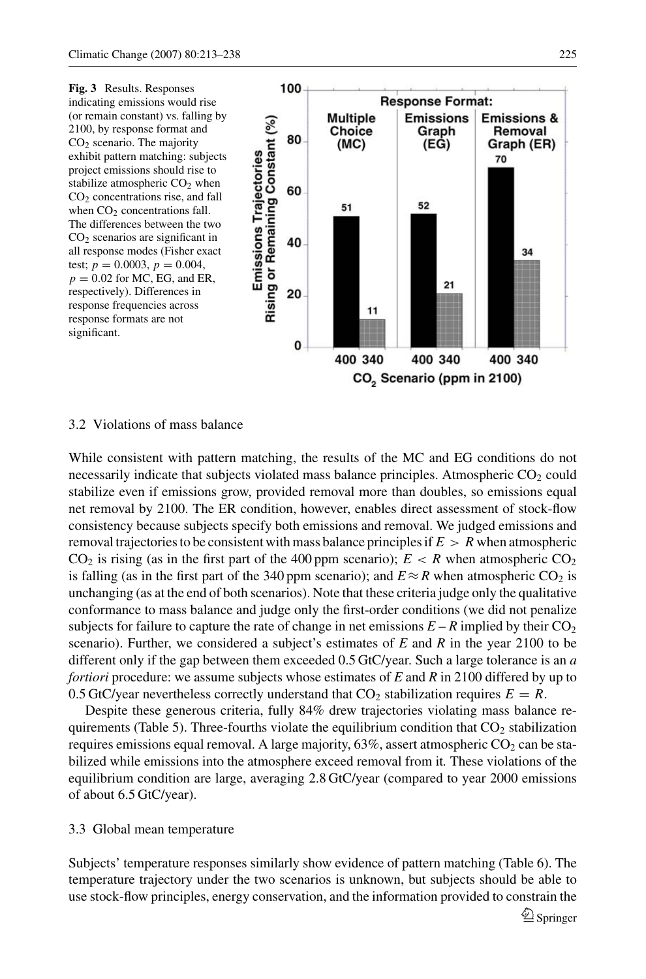

## 3.2 Violations of mass balance

While consistent with pattern matching, the results of the MC and EG conditions do not necessarily indicate that subjects violated mass balance principles. Atmospheric  $CO<sub>2</sub>$  could stabilize even if emissions grow, provided removal more than doubles, so emissions equal net removal by 2100. The ER condition, however, enables direct assessment of stock-flow consistency because subjects specify both emissions and removal. We judged emissions and removal trajectories to be consistent with mass balance principles if  $E > R$  when atmospheric  $CO<sub>2</sub>$  is rising (as in the first part of the 400 ppm scenario);  $E < R$  when atmospheric  $CO<sub>2</sub>$ is falling (as in the first part of the 340 ppm scenario); and  $E \approx R$  when atmospheric CO<sub>2</sub> is unchanging (as at the end of both scenarios). Note that these criteria judge only the qualitative conformance to mass balance and judge only the first-order conditions (we did not penalize subjects for failure to capture the rate of change in net emissions  $E - R$  implied by their  $CO<sub>2</sub>$ scenario). Further, we considered a subject's estimates of *E* and *R* in the year 2100 to be different only if the gap between them exceeded 0.5 GtC/year. Such a large tolerance is an *a fortiori* procedure: we assume subjects whose estimates of *E* and *R* in 2100 differed by up to 0.5 GtC/year nevertheless correctly understand that  $CO<sub>2</sub>$  stabilization requires  $E = R$ .

Despite these generous criteria, fully 84% drew trajectories violating mass balance requirements (Table 5). Three-fourths violate the equilibrium condition that  $CO<sub>2</sub>$  stabilization requires emissions equal removal. A large majority,  $63\%$ , assert atmospheric  $CO<sub>2</sub>$  can be stabilized while emissions into the atmosphere exceed removal from it*.* These violations of the equilibrium condition are large, averaging 2.8 GtC/year (compared to year 2000 emissions of about 6.5 GtC/year).

## 3.3 Global mean temperature

Subjects' temperature responses similarly show evidence of pattern matching (Table 6). The temperature trajectory under the two scenarios is unknown, but subjects should be able to use stock-flow principles, energy conservation, and the information provided to constrain the

#### $\mathcal{Q}_{\text{Springer}}$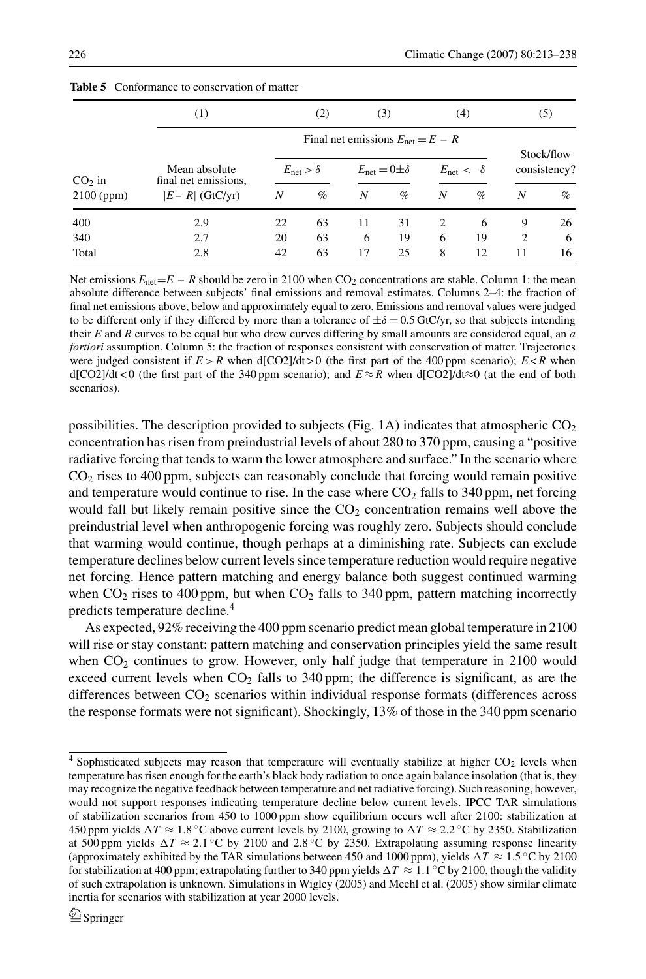|            | (1)                                   |    | (2)                       |                                              | (3)                             |   | (4)                        |    | (5)                        |
|------------|---------------------------------------|----|---------------------------|----------------------------------------------|---------------------------------|---|----------------------------|----|----------------------------|
|            |                                       |    |                           | Final net emissions $E_{\text{net}} = E - R$ |                                 |   |                            |    |                            |
| $CO2$ in   | Mean absolute<br>final net emissions, |    | $E_{\text{net}} > \delta$ |                                              | $E_{\text{net}} = 0 \pm \delta$ |   | $E_{\text{net}} < -\delta$ |    | Stock/flow<br>consistency? |
| 2100 (ppm) | $ E - R $ (GtC/yr)                    | N  | $\%$                      | N                                            | $\%$                            | N | $\%$                       | N  | $\%$                       |
| 400        | 2.9                                   | 22 | 63                        | 11                                           | 31                              | 2 | 6                          | 9  | 26                         |
| 340        | 2.7                                   | 20 | 63                        | 6                                            | 19                              | 6 | 19                         | 2  | 6                          |
| Total      | 2.8                                   | 42 | 63                        | 17                                           | 25                              | 8 | 12                         | 11 | 16                         |

#### **Table 5** Conformance to conservation of matter

Net emissions  $E_{\text{net}}=E-R$  should be zero in 2100 when CO<sub>2</sub> concentrations are stable. Column 1: the mean absolute difference between subjects' final emissions and removal estimates. Columns 2–4: the fraction of final net emissions above, below and approximately equal to zero. Emissions and removal values were judged to be different only if they differed by more than a tolerance of  $\pm \delta = 0.5$  GtC/yr, so that subjects intending their *E* and *R* curves to be equal but who drew curves differing by small amounts are considered equal, an *a fortiori* assumption. Column 5: the fraction of responses consistent with conservation of matter. Trajectories were judged consistent if  $E > R$  when d[CO2]/dt > 0 (the first part of the 400 ppm scenario);  $E < R$  when d[CO2]/dt < 0 (the first part of the 340 ppm scenario); and *E* ≈ *R* when d[CO2]/dt≈0 (at the end of both scenarios).

possibilities. The description provided to subjects (Fig. 1A) indicates that atmospheric  $CO<sub>2</sub>$ concentration has risen from preindustrial levels of about 280 to 370 ppm, causing a "positive radiative forcing that tends to warm the lower atmosphere and surface." In the scenario where CO2 rises to 400 ppm, subjects can reasonably conclude that forcing would remain positive and temperature would continue to rise. In the case where  $CO<sub>2</sub>$  falls to 340 ppm, net forcing would fall but likely remain positive since the  $CO<sub>2</sub>$  concentration remains well above the preindustrial level when anthropogenic forcing was roughly zero. Subjects should conclude that warming would continue, though perhaps at a diminishing rate. Subjects can exclude temperature declines below current levels since temperature reduction would require negative net forcing. Hence pattern matching and energy balance both suggest continued warming when  $CO<sub>2</sub>$  rises to 400 ppm, but when  $CO<sub>2</sub>$  falls to 340 ppm, pattern matching incorrectly predicts temperature decline.<sup>4</sup>

As expected, 92% receiving the 400 ppm scenario predict mean global temperature in 2100 will rise or stay constant: pattern matching and conservation principles yield the same result when  $CO<sub>2</sub>$  continues to grow. However, only half judge that temperature in 2100 would exceed current levels when  $CO<sub>2</sub>$  falls to 340 ppm; the difference is significant, as are the differences between  $CO<sub>2</sub>$  scenarios within individual response formats (differences across the response formats were not significant). Shockingly, 13% of those in the 340 ppm scenario

 $4$  Sophisticated subjects may reason that temperature will eventually stabilize at higher  $CO<sub>2</sub>$  levels when temperature has risen enough for the earth's black body radiation to once again balance insolation (that is, they may recognize the negative feedback between temperature and net radiative forcing). Such reasoning, however, would not support responses indicating temperature decline below current levels. IPCC TAR simulations of stabilization scenarios from 450 to 1000 ppm show equilibrium occurs well after 2100: stabilization at 450 ppm yields  $\Delta T \approx 1.8 \degree$ C above current levels by 2100, growing to  $\Delta T \approx 2.2 \degree$ C by 2350. Stabilization at 500 ppm yields  $\Delta T \approx 2.1 \degree \text{C}$  by 2100 and 2.8 °C by 2350. Extrapolating assuming response linearity (approximately exhibited by the TAR simulations between 450 and 1000 ppm), yields  $\Delta T \approx 1.5$  °C by 2100 for stabilization at 400 ppm; extrapolating further to 340 ppm yields  $\Delta T \approx 1.1 \degree$ C by 2100, though the validity of such extrapolation is unknown. Simulations in Wigley (2005) and Meehl et al. (2005) show similar climate inertia for scenarios with stabilization at year 2000 levels.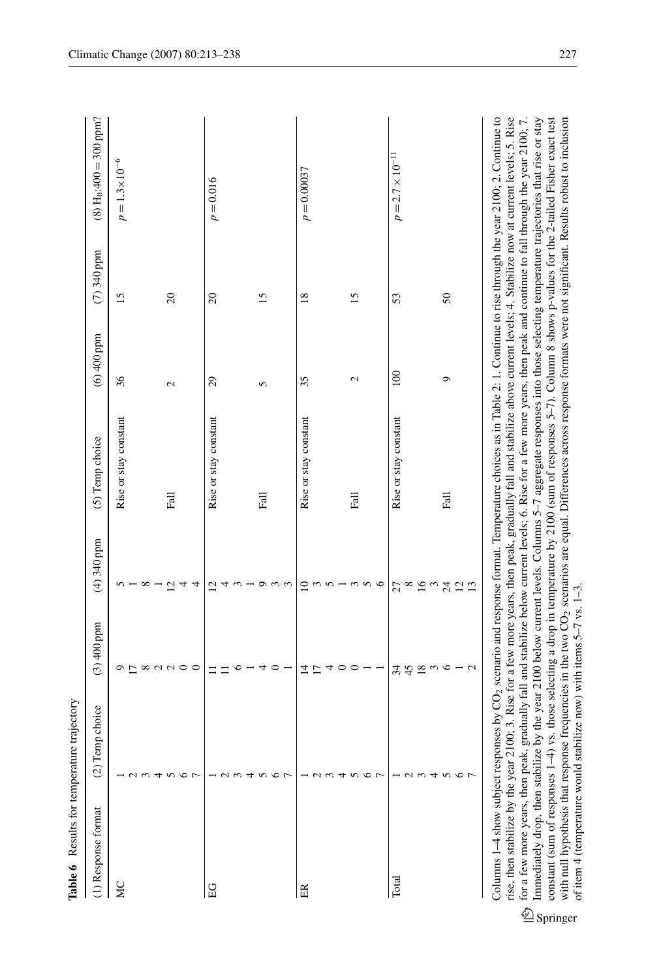| 2<br>4<br>5<br>$\circ$<br>$\overline{ }$<br>$\mathcal{L}$<br>4<br>5<br>$\circ$<br>$\overline{ }$<br>$\epsilon$<br>$\omega$<br>S<br>$\Xi$<br>E | $\circ \sim \sim 0.000$  |                                                                                                                                                                                                                                                                                                                                                                                                                                                                                                                   |                                           |                |                 |                           |
|-----------------------------------------------------------------------------------------------------------------------------------------------|--------------------------|-------------------------------------------------------------------------------------------------------------------------------------------------------------------------------------------------------------------------------------------------------------------------------------------------------------------------------------------------------------------------------------------------------------------------------------------------------------------------------------------------------------------|-------------------------------------------|----------------|-----------------|---------------------------|
|                                                                                                                                               |                          |                                                                                                                                                                                                                                                                                                                                                                                                                                                                                                                   |                                           |                |                 |                           |
|                                                                                                                                               |                          | 5                                                                                                                                                                                                                                                                                                                                                                                                                                                                                                                 | Rise or stay constant                     | 36             | $\overline{15}$ | $p = 1.3 \times 10^{-6}$  |
|                                                                                                                                               |                          |                                                                                                                                                                                                                                                                                                                                                                                                                                                                                                                   |                                           |                |                 |                           |
|                                                                                                                                               |                          | $^{\circ}$                                                                                                                                                                                                                                                                                                                                                                                                                                                                                                        |                                           |                |                 |                           |
|                                                                                                                                               |                          |                                                                                                                                                                                                                                                                                                                                                                                                                                                                                                                   |                                           |                |                 |                           |
|                                                                                                                                               |                          | $\overline{c}$                                                                                                                                                                                                                                                                                                                                                                                                                                                                                                    | Fall                                      | 2              | 20              |                           |
|                                                                                                                                               |                          | 4                                                                                                                                                                                                                                                                                                                                                                                                                                                                                                                 |                                           |                |                 |                           |
|                                                                                                                                               |                          | 4                                                                                                                                                                                                                                                                                                                                                                                                                                                                                                                 |                                           |                |                 |                           |
|                                                                                                                                               |                          | $\overline{c}$                                                                                                                                                                                                                                                                                                                                                                                                                                                                                                    | Rise or stay constant                     | $\mathfrak{S}$ | $\Omega$        | $p = 0.016$               |
|                                                                                                                                               | ココ                       | 4                                                                                                                                                                                                                                                                                                                                                                                                                                                                                                                 |                                           |                |                 |                           |
|                                                                                                                                               | $\circ$                  |                                                                                                                                                                                                                                                                                                                                                                                                                                                                                                                   |                                           |                |                 |                           |
|                                                                                                                                               |                          | $\omega -$                                                                                                                                                                                                                                                                                                                                                                                                                                                                                                        |                                           |                |                 |                           |
|                                                                                                                                               | 4                        |                                                                                                                                                                                                                                                                                                                                                                                                                                                                                                                   | $_{\rm{FeII}}$                            | 5              | $\overline{15}$ |                           |
|                                                                                                                                               | $\circ$                  | $\sigma$                                                                                                                                                                                                                                                                                                                                                                                                                                                                                                          |                                           |                |                 |                           |
|                                                                                                                                               |                          | $\mathfrak{c}$                                                                                                                                                                                                                                                                                                                                                                                                                                                                                                    |                                           |                |                 |                           |
|                                                                                                                                               | $\overline{4}$           | $\Xi$                                                                                                                                                                                                                                                                                                                                                                                                                                                                                                             | Rise or stay constant                     | 35             | $\frac{8}{18}$  | $p = 0.00037$             |
| $\sim$                                                                                                                                        | $\overline{17}$          |                                                                                                                                                                                                                                                                                                                                                                                                                                                                                                                   |                                           |                |                 |                           |
|                                                                                                                                               | 4                        |                                                                                                                                                                                                                                                                                                                                                                                                                                                                                                                   |                                           |                |                 |                           |
| 4                                                                                                                                             | $\circ$                  |                                                                                                                                                                                                                                                                                                                                                                                                                                                                                                                   |                                           |                |                 |                           |
| $\sim$                                                                                                                                        | $\circ$                  | $\mathcal{L} \circ \mathcal{L} \circ \mathcal{L} \circ \mathcal{L} \circ \mathcal{L} \circ \mathcal{L} \circ \mathcal{L} \circ \mathcal{L} \circ \mathcal{L} \circ \mathcal{L} \circ \mathcal{L} \circ \mathcal{L} \circ \mathcal{L} \circ \mathcal{L} \circ \mathcal{L} \circ \mathcal{L} \circ \mathcal{L} \circ \mathcal{L} \circ \mathcal{L} \circ \mathcal{L} \circ \mathcal{L} \circ \mathcal{L} \circ \mathcal{L} \circ \mathcal{L} \circ \mathcal{L} \circ \mathcal{L} \circ \mathcal{L} \circ \mathcal{$ | Fall                                      | 2              | $\overline{15}$ |                           |
| o r                                                                                                                                           |                          |                                                                                                                                                                                                                                                                                                                                                                                                                                                                                                                   |                                           |                |                 |                           |
|                                                                                                                                               |                          |                                                                                                                                                                                                                                                                                                                                                                                                                                                                                                                   |                                           |                |                 |                           |
| Total                                                                                                                                         |                          |                                                                                                                                                                                                                                                                                                                                                                                                                                                                                                                   | Rise or stay constant                     | 100            | 53              | $p = 2.7 \times 10^{-11}$ |
|                                                                                                                                               | 345                      |                                                                                                                                                                                                                                                                                                                                                                                                                                                                                                                   |                                           |                |                 |                           |
| $\omega$ $\omega$                                                                                                                             | $\frac{8}{18}$ m $\circ$ |                                                                                                                                                                                                                                                                                                                                                                                                                                                                                                                   |                                           |                |                 |                           |
|                                                                                                                                               |                          |                                                                                                                                                                                                                                                                                                                                                                                                                                                                                                                   |                                           |                |                 |                           |
| 40                                                                                                                                            |                          | $5°95$ $m322$                                                                                                                                                                                                                                                                                                                                                                                                                                                                                                     | $\ensuremath{\mathop{\text{FeH}}}\xspace$ | $\circ$        | 50              |                           |
| $\frac{1}{2}$                                                                                                                                 |                          |                                                                                                                                                                                                                                                                                                                                                                                                                                                                                                                   |                                           |                |                 |                           |
|                                                                                                                                               | $\frac{1}{2}$            |                                                                                                                                                                                                                                                                                                                                                                                                                                                                                                                   |                                           |                |                 |                           |

community and the second specific of the second control of the second stabilize above current levels; 4. Stabilize now at current levels; 5. Rise Stabilize by the year 2100; 3. Rise for a few more years, then peak, gradual for a few more years, then peak, gradually fall and stabilize below current levels; 6. Rise for a few more years, then peak and continue to fall through the year 2100; 7. Immediately drop, then stabilize by the year 2100 below current levels. Columns 5–7 aggregate responses into those selecting temperature trajectories that rise or stay<br>constant (sum of responses 1–4) vs. those selecting a with null hypothesis that response frequencies in the two CO<sub>2</sub> scenarios are equal. Differences across response formats were not significant. Results robust to inclusion constant (sum of responses  $1-4$ ) vs. those selecting a drop in temperature by 2100 (sum of responses 5–7). Column 8 shows p-values for the 2-tailed Fisher exact test Columns 1–4 show subject responses by CO2 scenario and response format. Temperature choices as in Table 2: 1. Continue to rise through the year 2100; 2. Continue to rise, then stabilize by the year 2100; 3. Rise for a few more years, then peak, gradually fall and stabilize above current levels; 4. Stabilize now at current levels; 5. Rise for a few more years, then peak, gradually fall and stabilize below current levels; 6. Rise for a few more years, then peak and continue to fall through the year 2100; 7. Immediately drop, then stabilize by the year 2100 below current levels. Columns 5–7 aggregate responses into those selecting temperature trajectories that rise or stay with null hypothesis that response frequencies in the two CO<sub>2</sub> scenarios are equal. Differences across response formats were not significant. Results robust to inclusion of item 4 (temperature would stabilize now) with items 5-7 vs. 1-3. of item 4 (temperature would stabilize now) with items 5–7 vs. 1–3.  $\hat{Z}$  Springer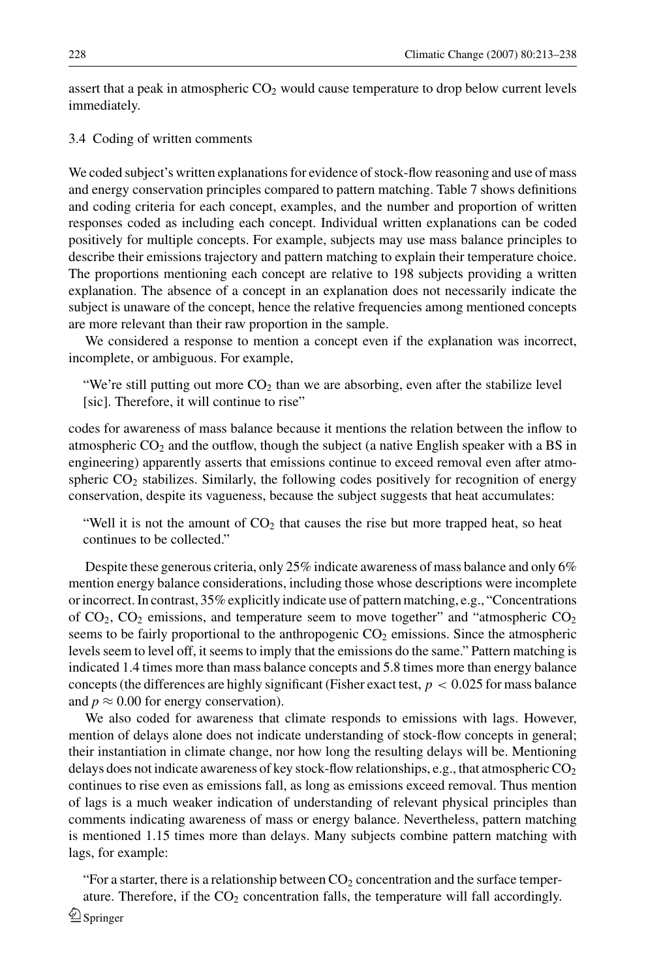assert that a peak in atmospheric  $CO<sub>2</sub>$  would cause temperature to drop below current levels immediately.

3.4 Coding of written comments

We coded subject's written explanations for evidence of stock-flow reasoning and use of mass and energy conservation principles compared to pattern matching. Table 7 shows definitions and coding criteria for each concept, examples, and the number and proportion of written responses coded as including each concept. Individual written explanations can be coded positively for multiple concepts. For example, subjects may use mass balance principles to describe their emissions trajectory and pattern matching to explain their temperature choice. The proportions mentioning each concept are relative to 198 subjects providing a written explanation. The absence of a concept in an explanation does not necessarily indicate the subject is unaware of the concept, hence the relative frequencies among mentioned concepts are more relevant than their raw proportion in the sample.

We considered a response to mention a concept even if the explanation was incorrect, incomplete, or ambiguous. For example,

"We're still putting out more  $CO<sub>2</sub>$  than we are absorbing, even after the stabilize level [sic]. Therefore, it will continue to rise"

codes for awareness of mass balance because it mentions the relation between the inflow to atmospheric  $CO<sub>2</sub>$  and the outflow, though the subject (a native English speaker with a BS in engineering) apparently asserts that emissions continue to exceed removal even after atmospheric  $CO<sub>2</sub>$  stabilizes. Similarly, the following codes positively for recognition of energy conservation, despite its vagueness, because the subject suggests that heat accumulates:

"Well it is not the amount of  $CO<sub>2</sub>$  that causes the rise but more trapped heat, so heat continues to be collected."

Despite these generous criteria, only 25% indicate awareness of mass balance and only 6% mention energy balance considerations, including those whose descriptions were incomplete or incorrect. In contrast, 35% explicitly indicate use of pattern matching, e.g., "Concentrations of  $CO<sub>2</sub>$ ,  $CO<sub>2</sub>$  emissions, and temperature seem to move together" and "atmospheric  $CO<sub>2</sub>$ seems to be fairly proportional to the anthropogenic  $CO<sub>2</sub>$  emissions. Since the atmospheric levels seem to level off, it seems to imply that the emissions do the same." Pattern matching is indicated 1.4 times more than mass balance concepts and 5.8 times more than energy balance concepts (the differences are highly significant (Fisher exact test,  $p < 0.025$  for mass balance and  $p \approx 0.00$  for energy conservation).

We also coded for awareness that climate responds to emissions with lags. However, mention of delays alone does not indicate understanding of stock-flow concepts in general; their instantiation in climate change, nor how long the resulting delays will be. Mentioning delays does not indicate awareness of key stock-flow relationships, e.g., that atmospheric  $CO<sub>2</sub>$ continues to rise even as emissions fall, as long as emissions exceed removal. Thus mention of lags is a much weaker indication of understanding of relevant physical principles than comments indicating awareness of mass or energy balance. Nevertheless, pattern matching is mentioned 1.15 times more than delays. Many subjects combine pattern matching with lags, for example:

"For a starter, there is a relationship between  $CO<sub>2</sub>$  concentration and the surface temperature. Therefore, if the  $CO<sub>2</sub>$  concentration falls, the temperature will fall accordingly.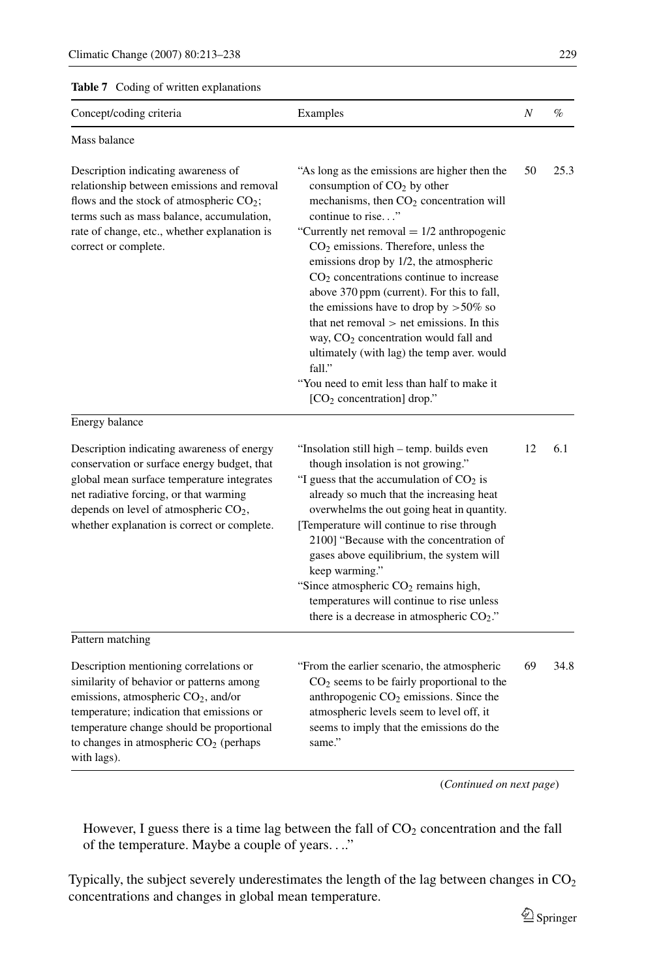# Table 7 Coding of written explanations

| <b>Table</b> / County of written explanations<br>Concept/coding criteria                                                                                                                                                                                                              | Examples                                                                                                                                                                                                                                                                                                                                                                                                                                                                                                                                                                                                                                                                         | Ν  | $\%$ |
|---------------------------------------------------------------------------------------------------------------------------------------------------------------------------------------------------------------------------------------------------------------------------------------|----------------------------------------------------------------------------------------------------------------------------------------------------------------------------------------------------------------------------------------------------------------------------------------------------------------------------------------------------------------------------------------------------------------------------------------------------------------------------------------------------------------------------------------------------------------------------------------------------------------------------------------------------------------------------------|----|------|
| Mass balance                                                                                                                                                                                                                                                                          |                                                                                                                                                                                                                                                                                                                                                                                                                                                                                                                                                                                                                                                                                  |    |      |
| Description indicating awareness of<br>relationship between emissions and removal<br>flows and the stock of atmospheric $CO2$ ;<br>terms such as mass balance, accumulation,<br>rate of change, etc., whether explanation is<br>correct or complete.                                  | "As long as the emissions are higher then the<br>consumption of $CO2$ by other<br>mechanisms, then $CO2$ concentration will<br>continue to rise"<br>"Currently net removal $= 1/2$ anthropogenic<br>CO <sub>2</sub> emissions. Therefore, unless the<br>emissions drop by 1/2, the atmospheric<br>$CO2$ concentrations continue to increase<br>above 370 ppm (current). For this to fall,<br>the emissions have to drop by $>50\%$ so<br>that net removal $>$ net emissions. In this<br>way, $CO2$ concentration would fall and<br>ultimately (with lag) the temp aver. would<br>fall."<br>"You need to emit less than half to make it<br>[CO <sub>2</sub> concentration] drop." | 50 | 25.3 |
| Energy balance                                                                                                                                                                                                                                                                        |                                                                                                                                                                                                                                                                                                                                                                                                                                                                                                                                                                                                                                                                                  |    |      |
| Description indicating awareness of energy<br>conservation or surface energy budget, that<br>global mean surface temperature integrates<br>net radiative forcing, or that warming<br>depends on level of atmospheric CO <sub>2</sub> ,<br>whether explanation is correct or complete. | "Insolation still high – temp. builds even<br>though insolation is not growing."<br>"I guess that the accumulation of $CO2$ is<br>already so much that the increasing heat<br>overwhelms the out going heat in quantity.<br>[Temperature will continue to rise through<br>2100] "Because with the concentration of<br>gases above equilibrium, the system will<br>keep warming."<br>"Since atmospheric CO <sub>2</sub> remains high,<br>temperatures will continue to rise unless<br>there is a decrease in atmospheric $CO2$ ."                                                                                                                                                 | 12 | 6.1  |
| Pattern matching                                                                                                                                                                                                                                                                      |                                                                                                                                                                                                                                                                                                                                                                                                                                                                                                                                                                                                                                                                                  |    |      |
| Description mentioning correlations or<br>similarity of behavior or patterns among<br>emissions, atmospheric $CO2$ , and/or<br>temperature; indication that emissions or<br>temperature change should be proportional<br>to changes in atmospheric $CO2$ (perhaps<br>with lags).      | "From the earlier scenario, the atmospheric<br>CO <sub>2</sub> seems to be fairly proportional to the<br>anthropogenic CO <sub>2</sub> emissions. Since the<br>atmospheric levels seem to level off, it<br>seems to imply that the emissions do the<br>same."                                                                                                                                                                                                                                                                                                                                                                                                                    | 69 | 34.8 |

(*Continued on next page*)

However, I guess there is a time lag between the fall of  $CO<sub>2</sub>$  concentration and the fall of the temperature. Maybe a couple of years...."

Typically, the subject severely underestimates the length of the lag between changes in CO<sub>2</sub> concentrations and changes in global mean temperature.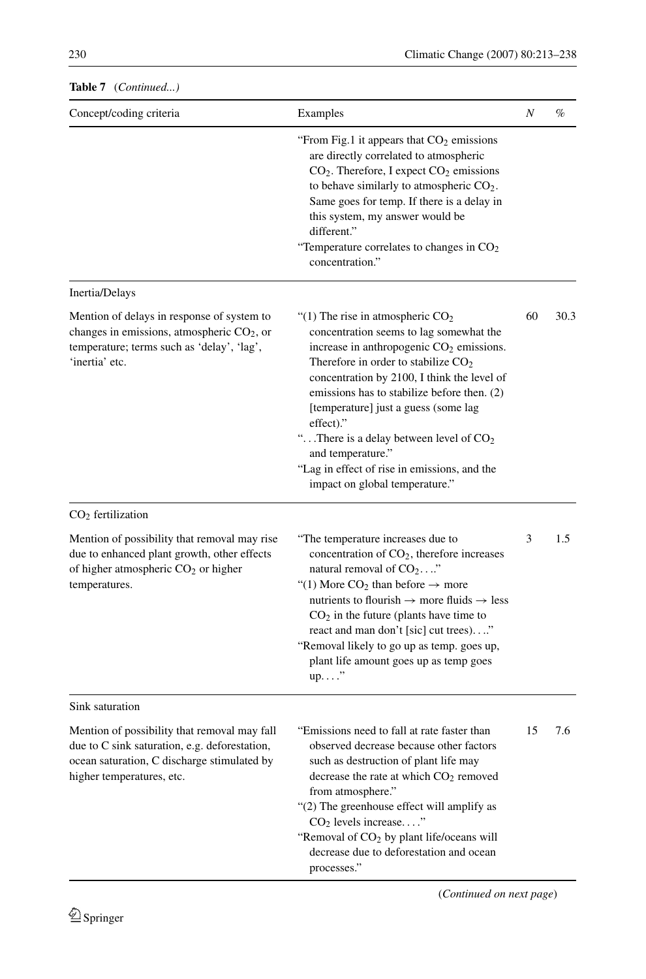| Concept/coding criteria                                                                                                                                                   | Examples                                                                                                                                                                                                                                                                                                                                                                                                                                                                             | N  | $\%$ |
|---------------------------------------------------------------------------------------------------------------------------------------------------------------------------|--------------------------------------------------------------------------------------------------------------------------------------------------------------------------------------------------------------------------------------------------------------------------------------------------------------------------------------------------------------------------------------------------------------------------------------------------------------------------------------|----|------|
|                                                                                                                                                                           | "From Fig.1 it appears that $CO2$ emissions"<br>are directly correlated to atmospheric<br>$CO2$ . Therefore, I expect $CO2$ emissions<br>to behave similarly to atmospheric $CO2$ .<br>Same goes for temp. If there is a delay in<br>this system, my answer would be<br>different."<br>"Temperature correlates to changes in $CO2$<br>concentration."                                                                                                                                |    |      |
| Inertia/Delays                                                                                                                                                            |                                                                                                                                                                                                                                                                                                                                                                                                                                                                                      |    |      |
| Mention of delays in response of system to<br>changes in emissions, atmospheric CO <sub>2</sub> , or<br>temperature; terms such as 'delay', 'lag',<br>'inertia' etc.      | "(1) The rise in atmospheric $CO2$<br>concentration seems to lag somewhat the<br>increase in anthropogenic CO <sub>2</sub> emissions.<br>Therefore in order to stabilize $CO2$<br>concentration by 2100, I think the level of<br>emissions has to stabilize before then. (2)<br>[temperature] just a guess (some lag<br>effect)."<br>"There is a delay between level of $CO2$<br>and temperature."<br>"Lag in effect of rise in emissions, and the<br>impact on global temperature." | 60 | 30.3 |
| $CO2$ fertilization                                                                                                                                                       |                                                                                                                                                                                                                                                                                                                                                                                                                                                                                      |    |      |
| Mention of possibility that removal may rise<br>due to enhanced plant growth, other effects<br>of higher atmospheric $CO2$ or higher<br>temperatures.                     | "The temperature increases due to<br>concentration of CO <sub>2</sub> , therefore increases<br>natural removal of $CO_2$ "<br>"(1) More $CO2$ than before $\rightarrow$ more<br>nutrients to flourish $\rightarrow$ more fluids $\rightarrow$ less<br>$CO2$ in the future (plants have time to<br>react and man don't [sic] cut trees)"<br>"Removal likely to go up as temp. goes up,<br>plant life amount goes up as temp goes<br>$up.$ "                                           | 3  | 1.5  |
| Sink saturation                                                                                                                                                           |                                                                                                                                                                                                                                                                                                                                                                                                                                                                                      |    |      |
| Mention of possibility that removal may fall<br>due to C sink saturation, e.g. deforestation,<br>ocean saturation, C discharge stimulated by<br>higher temperatures, etc. | "Emissions need to fall at rate faster than<br>observed decrease because other factors<br>such as destruction of plant life may<br>decrease the rate at which CO <sub>2</sub> removed<br>from atmosphere."<br>"(2) The greenhouse effect will amplify as<br>CO <sub>2</sub> levels increase"<br>"Removal of CO <sub>2</sub> by plant life/oceans will<br>decrease due to deforestation and ocean<br>processes."                                                                      | 15 | 7.6  |

|  | <b>Table 7</b> ( <i>Continued</i> ) |
|--|-------------------------------------|
|--|-------------------------------------|

(*Continued on next page*)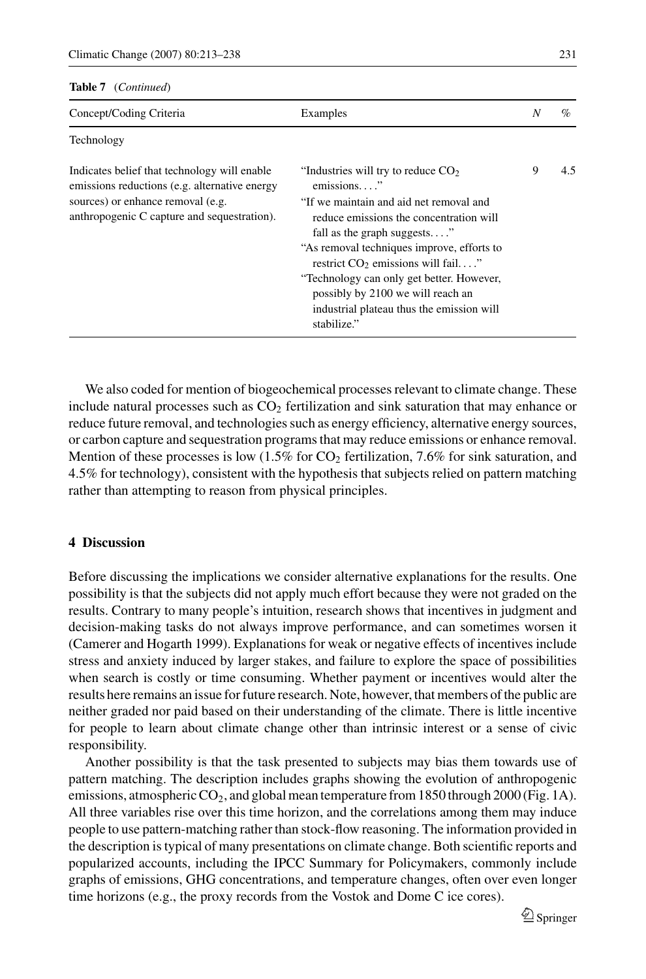| <b>Table 7</b> ( <i>Continued</i> )                                                                                                                                               |                                                                                                                                                                                                                                                                                                                                                                                                            |   |      |
|-----------------------------------------------------------------------------------------------------------------------------------------------------------------------------------|------------------------------------------------------------------------------------------------------------------------------------------------------------------------------------------------------------------------------------------------------------------------------------------------------------------------------------------------------------------------------------------------------------|---|------|
| Concept/Coding Criteria                                                                                                                                                           | Examples                                                                                                                                                                                                                                                                                                                                                                                                   | N | $\%$ |
| Technology                                                                                                                                                                        |                                                                                                                                                                                                                                                                                                                                                                                                            |   |      |
| Indicates belief that technology will enable<br>emissions reductions (e.g. alternative energy<br>sources) or enhance removal (e.g.<br>anthropogenic C capture and sequestration). | "Industries will try to reduce $CO2$<br>emissions"<br>"If we maintain and aid net removal and<br>reduce emissions the concentration will<br>fall as the graph suggests"<br>"As removal techniques improve, efforts to<br>restrict $CO2$ emissions will fail"<br>"Technology can only get better. However,<br>possibly by 2100 we will reach an<br>industrial plateau thus the emission will<br>stabilize." | 9 | 4.5  |

We also coded for mention of biogeochemical processes relevant to climate change. These include natural processes such as  $CO<sub>2</sub>$  fertilization and sink saturation that may enhance or reduce future removal, and technologies such as energy efficiency, alternative energy sources, or carbon capture and sequestration programs that may reduce emissions or enhance removal. Mention of these processes is low  $(1.5\%$  for CO<sub>2</sub> fertilization, 7.6% for sink saturation, and 4.5% for technology), consistent with the hypothesis that subjects relied on pattern matching rather than attempting to reason from physical principles.

## **4 Discussion**

Before discussing the implications we consider alternative explanations for the results. One possibility is that the subjects did not apply much effort because they were not graded on the results. Contrary to many people's intuition, research shows that incentives in judgment and decision-making tasks do not always improve performance, and can sometimes worsen it (Camerer and Hogarth 1999). Explanations for weak or negative effects of incentives include stress and anxiety induced by larger stakes, and failure to explore the space of possibilities when search is costly or time consuming. Whether payment or incentives would alter the results here remains an issue for future research. Note, however, that members of the public are neither graded nor paid based on their understanding of the climate. There is little incentive for people to learn about climate change other than intrinsic interest or a sense of civic responsibility.

Another possibility is that the task presented to subjects may bias them towards use of pattern matching. The description includes graphs showing the evolution of anthropogenic emissions, atmospheric  $CO<sub>2</sub>$ , and global mean temperature from 1850 through 2000 (Fig. 1A). All three variables rise over this time horizon, and the correlations among them may induce people to use pattern-matching rather than stock-flow reasoning. The information provided in the description is typical of many presentations on climate change. Both scientific reports and popularized accounts, including the IPCC Summary for Policymakers, commonly include graphs of emissions, GHG concentrations, and temperature changes, often over even longer time horizons (e.g., the proxy records from the Vostok and Dome C ice cores).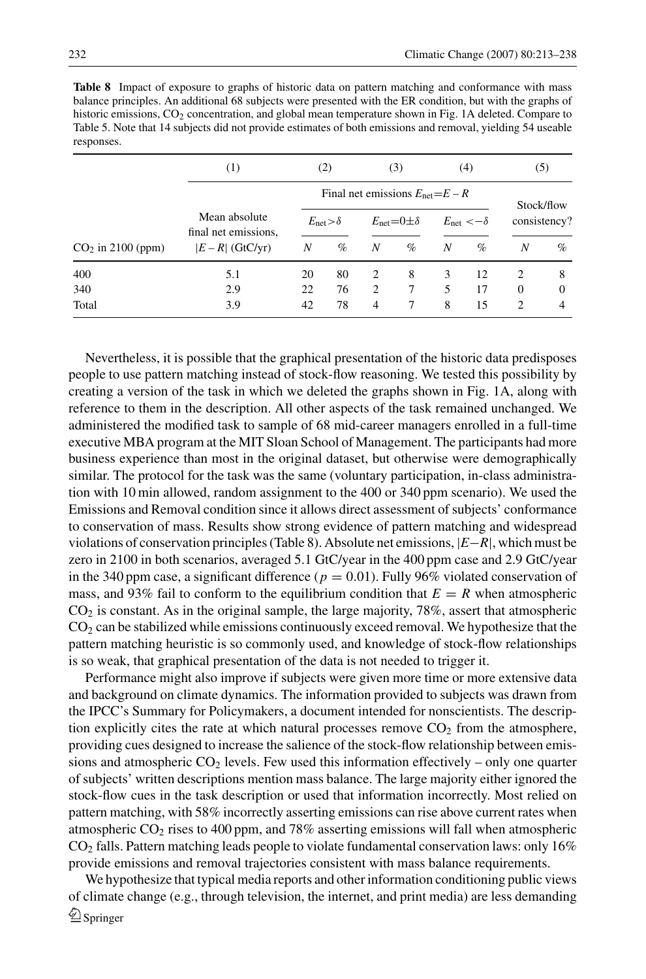|                     | (1)                                   |                  | (2)                       |                               | (3)                                          |   | (4)                        |          | (5)          |
|---------------------|---------------------------------------|------------------|---------------------------|-------------------------------|----------------------------------------------|---|----------------------------|----------|--------------|
|                     |                                       |                  |                           |                               | Final net emissions $E_{\text{net}} = E - R$ |   |                            |          | Stock/flow   |
|                     | Mean absolute<br>final net emissions, |                  | $E_{\text{net}} > \delta$ |                               | $E_{\text{net}}=0\pm\delta$                  |   | $E_{\text{net}} < -\delta$ |          | consistency? |
| $CO2$ in 2100 (ppm) | $ E - R $ (GtC/yr)                    | $\boldsymbol{N}$ | $\%$                      | N                             | $\%$                                         | N | $\%$                       | N        | $\%$         |
| 400                 | 5.1                                   | 20               | 80                        | 2                             | 8                                            | 3 | 12                         | 2        | 8            |
| 340                 | 2.9                                   | 22               | 76                        | $\mathfrak{D}_{\mathfrak{p}}$ | 7                                            | 5 | 17                         | $\Omega$ | $\Omega$     |
| Total               | 3.9                                   | 42               | 78                        | 4                             | 7                                            | 8 | 15                         | 2        | 4            |

**Table 8** Impact of exposure to graphs of historic data on pattern matching and conformance with mass balance principles. An additional 68 subjects were presented with the ER condition, but with the graphs of historic emissions, CO<sub>2</sub> concentration, and global mean temperature shown in Fig. 1A deleted. Compare to Table 5. Note that 14 subjects did not provide estimates of both emissions and removal, yielding 54 useable responses.

Nevertheless, it is possible that the graphical presentation of the historic data predisposes people to use pattern matching instead of stock-flow reasoning. We tested this possibility by creating a version of the task in which we deleted the graphs shown in Fig. 1A, along with reference to them in the description. All other aspects of the task remained unchanged. We administered the modified task to sample of 68 mid-career managers enrolled in a full-time executive MBA program at the MIT Sloan School of Management. The participants had more business experience than most in the original dataset, but otherwise were demographically similar. The protocol for the task was the same (voluntary participation, in-class administration with 10 min allowed, random assignment to the 400 or 340 ppm scenario). We used the Emissions and Removal condition since it allows direct assessment of subjects' conformance to conservation of mass. Results show strong evidence of pattern matching and widespread violations of conservation principles (Table 8). Absolute net emissions, |*E*−*R*|, which must be zero in 2100 in both scenarios, averaged 5.1 GtC/year in the 400 ppm case and 2.9 GtC/year in the 340 ppm case, a significant difference ( $p = 0.01$ ). Fully 96% violated conservation of mass, and 93% fail to conform to the equilibrium condition that  $E = R$  when atmospheric  $CO<sub>2</sub>$  is constant. As in the original sample, the large majority, 78%, assert that atmospheric CO2 can be stabilized while emissions continuously exceed removal. We hypothesize that the pattern matching heuristic is so commonly used, and knowledge of stock-flow relationships is so weak, that graphical presentation of the data is not needed to trigger it.

Performance might also improve if subjects were given more time or more extensive data and background on climate dynamics. The information provided to subjects was drawn from the IPCC's Summary for Policymakers, a document intended for nonscientists. The description explicitly cites the rate at which natural processes remove  $CO<sub>2</sub>$  from the atmosphere, providing cues designed to increase the salience of the stock-flow relationship between emissions and atmospheric  $CO<sub>2</sub>$  levels. Few used this information effectively – only one quarter of subjects' written descriptions mention mass balance. The large majority either ignored the stock-flow cues in the task description or used that information incorrectly. Most relied on pattern matching, with 58% incorrectly asserting emissions can rise above current rates when atmospheric  $CO<sub>2</sub>$  rises to 400 ppm, and 78% asserting emissions will fall when atmospheric  $CO<sub>2</sub>$  falls. Pattern matching leads people to violate fundamental conservation laws: only 16% provide emissions and removal trajectories consistent with mass balance requirements.

We hypothesize that typical media reports and other information conditioning public views of climate change (e.g., through television, the internet, and print media) are less demanding  $\bigcirc$  Springer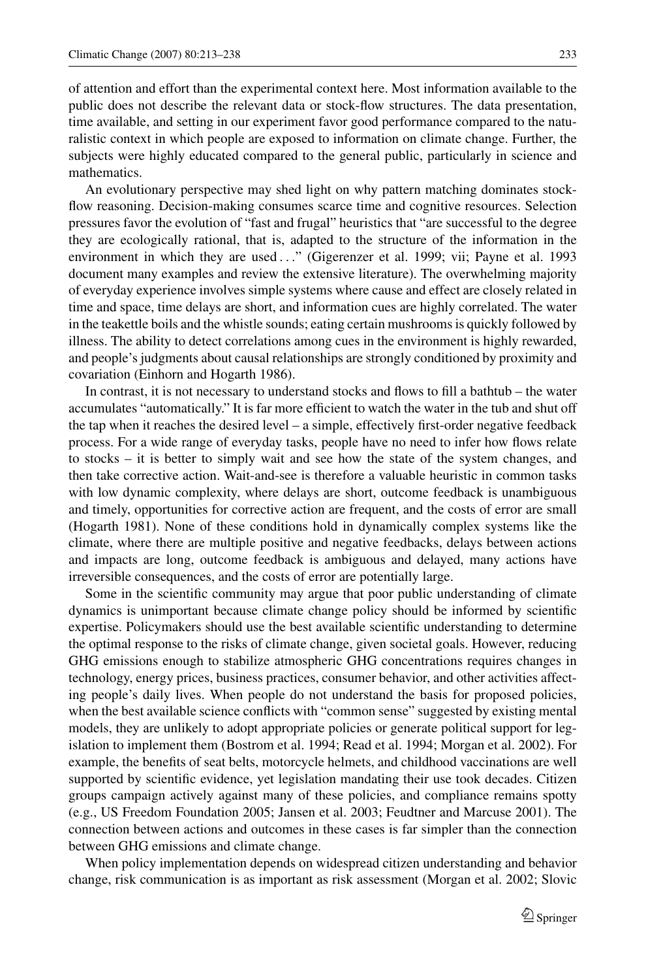of attention and effort than the experimental context here. Most information available to the public does not describe the relevant data or stock-flow structures. The data presentation, time available, and setting in our experiment favor good performance compared to the naturalistic context in which people are exposed to information on climate change. Further, the subjects were highly educated compared to the general public, particularly in science and mathematics.

An evolutionary perspective may shed light on why pattern matching dominates stockflow reasoning. Decision-making consumes scarce time and cognitive resources. Selection pressures favor the evolution of "fast and frugal" heuristics that "are successful to the degree they are ecologically rational, that is, adapted to the structure of the information in the environment in which they are used ..." (Gigerenzer et al. 1999; vii; Payne et al. 1993 document many examples and review the extensive literature). The overwhelming majority of everyday experience involves simple systems where cause and effect are closely related in time and space, time delays are short, and information cues are highly correlated. The water in the teakettle boils and the whistle sounds; eating certain mushrooms is quickly followed by illness. The ability to detect correlations among cues in the environment is highly rewarded, and people's judgments about causal relationships are strongly conditioned by proximity and covariation (Einhorn and Hogarth 1986).

In contrast, it is not necessary to understand stocks and flows to fill a bathtub – the water accumulates "automatically." It is far more efficient to watch the water in the tub and shut off the tap when it reaches the desired level – a simple, effectively first-order negative feedback process. For a wide range of everyday tasks, people have no need to infer how flows relate to stocks – it is better to simply wait and see how the state of the system changes, and then take corrective action. Wait-and-see is therefore a valuable heuristic in common tasks with low dynamic complexity, where delays are short, outcome feedback is unambiguous and timely, opportunities for corrective action are frequent, and the costs of error are small (Hogarth 1981). None of these conditions hold in dynamically complex systems like the climate, where there are multiple positive and negative feedbacks, delays between actions and impacts are long, outcome feedback is ambiguous and delayed, many actions have irreversible consequences, and the costs of error are potentially large.

Some in the scientific community may argue that poor public understanding of climate dynamics is unimportant because climate change policy should be informed by scientific expertise. Policymakers should use the best available scientific understanding to determine the optimal response to the risks of climate change, given societal goals. However, reducing GHG emissions enough to stabilize atmospheric GHG concentrations requires changes in technology, energy prices, business practices, consumer behavior, and other activities affecting people's daily lives. When people do not understand the basis for proposed policies, when the best available science conflicts with "common sense" suggested by existing mental models, they are unlikely to adopt appropriate policies or generate political support for legislation to implement them (Bostrom et al. 1994; Read et al. 1994; Morgan et al. 2002). For example, the benefits of seat belts, motorcycle helmets, and childhood vaccinations are well supported by scientific evidence, yet legislation mandating their use took decades. Citizen groups campaign actively against many of these policies, and compliance remains spotty (e.g., US Freedom Foundation 2005; Jansen et al. 2003; Feudtner and Marcuse 2001). The connection between actions and outcomes in these cases is far simpler than the connection between GHG emissions and climate change.

When policy implementation depends on widespread citizen understanding and behavior change, risk communication is as important as risk assessment (Morgan et al. 2002; Slovic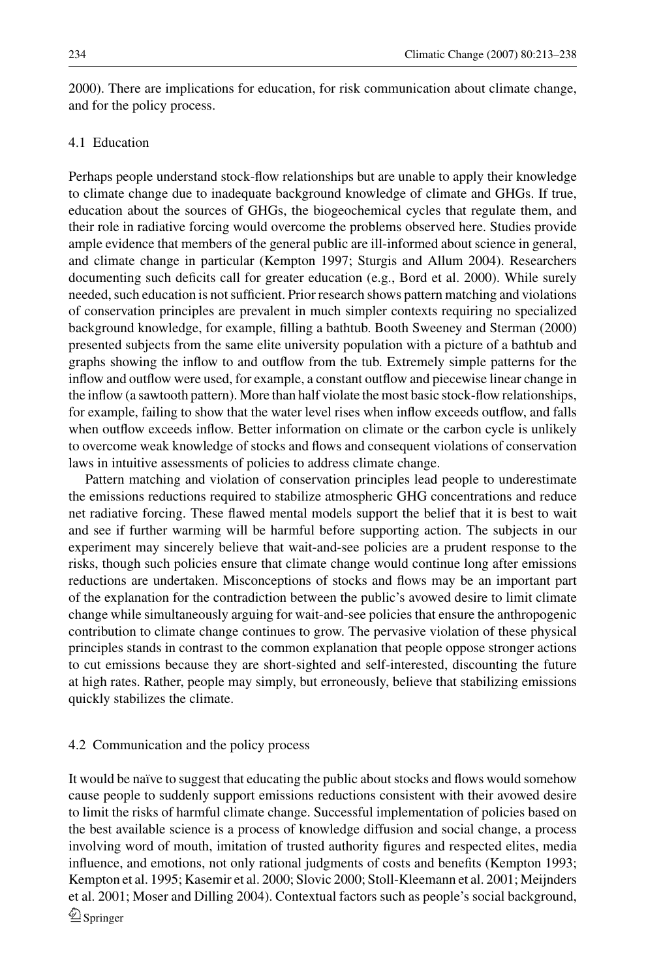2000). There are implications for education, for risk communication about climate change, and for the policy process.

## 4.1 Education

Perhaps people understand stock-flow relationships but are unable to apply their knowledge to climate change due to inadequate background knowledge of climate and GHGs. If true, education about the sources of GHGs, the biogeochemical cycles that regulate them, and their role in radiative forcing would overcome the problems observed here. Studies provide ample evidence that members of the general public are ill-informed about science in general, and climate change in particular (Kempton 1997; Sturgis and Allum 2004). Researchers documenting such deficits call for greater education (e.g., Bord et al. 2000). While surely needed, such education is not sufficient. Prior research shows pattern matching and violations of conservation principles are prevalent in much simpler contexts requiring no specialized background knowledge, for example, filling a bathtub. Booth Sweeney and Sterman (2000) presented subjects from the same elite university population with a picture of a bathtub and graphs showing the inflow to and outflow from the tub. Extremely simple patterns for the inflow and outflow were used, for example, a constant outflow and piecewise linear change in the inflow (a sawtooth pattern). More than half violate the most basic stock-flow relationships, for example, failing to show that the water level rises when inflow exceeds outflow, and falls when outflow exceeds inflow. Better information on climate or the carbon cycle is unlikely to overcome weak knowledge of stocks and flows and consequent violations of conservation laws in intuitive assessments of policies to address climate change.

Pattern matching and violation of conservation principles lead people to underestimate the emissions reductions required to stabilize atmospheric GHG concentrations and reduce net radiative forcing. These flawed mental models support the belief that it is best to wait and see if further warming will be harmful before supporting action. The subjects in our experiment may sincerely believe that wait-and-see policies are a prudent response to the risks, though such policies ensure that climate change would continue long after emissions reductions are undertaken. Misconceptions of stocks and flows may be an important part of the explanation for the contradiction between the public's avowed desire to limit climate change while simultaneously arguing for wait-and-see policies that ensure the anthropogenic contribution to climate change continues to grow. The pervasive violation of these physical principles stands in contrast to the common explanation that people oppose stronger actions to cut emissions because they are short-sighted and self-interested, discounting the future at high rates. Rather, people may simply, but erroneously, believe that stabilizing emissions quickly stabilizes the climate.

#### 4.2 Communication and the policy process

It would be naïve to suggest that educating the public about stocks and flows would somehow cause people to suddenly support emissions reductions consistent with their avowed desire to limit the risks of harmful climate change. Successful implementation of policies based on the best available science is a process of knowledge diffusion and social change, a process involving word of mouth, imitation of trusted authority figures and respected elites, media influence, and emotions, not only rational judgments of costs and benefits (Kempton 1993; Kempton et al. 1995; Kasemir et al. 2000; Slovic 2000; Stoll-Kleemann et al. 2001; Meijnders et al. 2001; Moser and Dilling 2004). Contextual factors such as people's social background,  $\mathcal{Q}_{\text{Springer}}$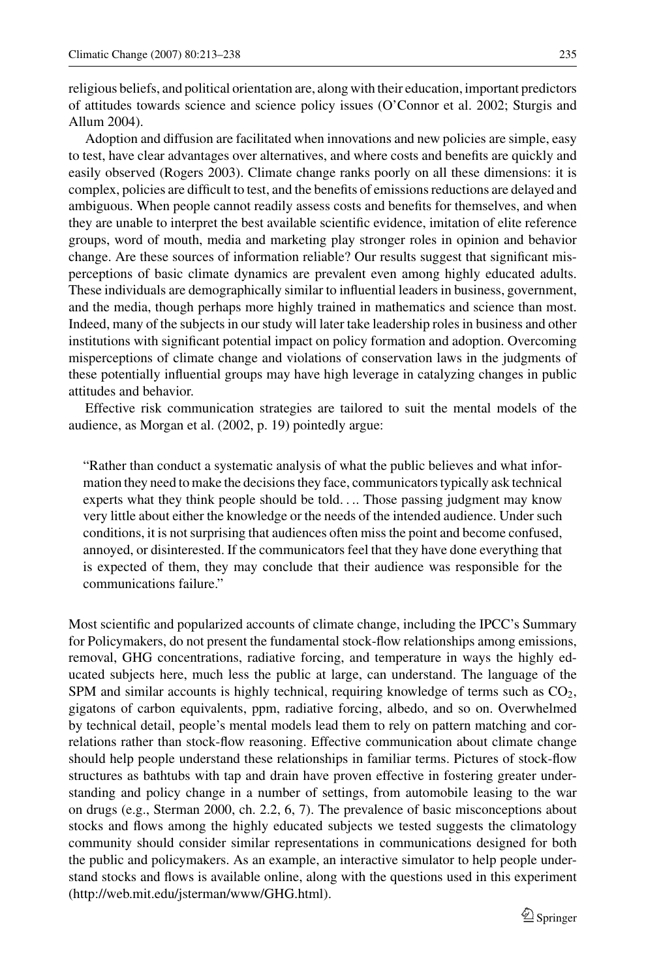religious beliefs, and political orientation are, along with their education, important predictors of attitudes towards science and science policy issues (O'Connor et al. 2002; Sturgis and Allum 2004).

Adoption and diffusion are facilitated when innovations and new policies are simple, easy to test, have clear advantages over alternatives, and where costs and benefits are quickly and easily observed (Rogers 2003). Climate change ranks poorly on all these dimensions: it is complex, policies are difficult to test, and the benefits of emissions reductions are delayed and ambiguous. When people cannot readily assess costs and benefits for themselves, and when they are unable to interpret the best available scientific evidence, imitation of elite reference groups, word of mouth, media and marketing play stronger roles in opinion and behavior change. Are these sources of information reliable? Our results suggest that significant misperceptions of basic climate dynamics are prevalent even among highly educated adults. These individuals are demographically similar to influential leaders in business, government, and the media, though perhaps more highly trained in mathematics and science than most. Indeed, many of the subjects in our study will later take leadership roles in business and other institutions with significant potential impact on policy formation and adoption. Overcoming misperceptions of climate change and violations of conservation laws in the judgments of these potentially influential groups may have high leverage in catalyzing changes in public attitudes and behavior.

Effective risk communication strategies are tailored to suit the mental models of the audience, as Morgan et al. (2002, p. 19) pointedly argue:

"Rather than conduct a systematic analysis of what the public believes and what information they need to make the decisions they face, communicators typically ask technical experts what they think people should be told.... Those passing judgment may know very little about either the knowledge or the needs of the intended audience. Under such conditions, it is not surprising that audiences often miss the point and become confused, annoyed, or disinterested. If the communicators feel that they have done everything that is expected of them, they may conclude that their audience was responsible for the communications failure."

Most scientific and popularized accounts of climate change, including the IPCC's Summary for Policymakers, do not present the fundamental stock-flow relationships among emissions, removal, GHG concentrations, radiative forcing, and temperature in ways the highly educated subjects here, much less the public at large, can understand. The language of the SPM and similar accounts is highly technical, requiring knowledge of terms such as  $CO<sub>2</sub>$ , gigatons of carbon equivalents, ppm, radiative forcing, albedo, and so on. Overwhelmed by technical detail, people's mental models lead them to rely on pattern matching and correlations rather than stock-flow reasoning. Effective communication about climate change should help people understand these relationships in familiar terms. Pictures of stock-flow structures as bathtubs with tap and drain have proven effective in fostering greater understanding and policy change in a number of settings, from automobile leasing to the war on drugs (e.g., Sterman 2000, ch. 2.2, 6, 7). The prevalence of basic misconceptions about stocks and flows among the highly educated subjects we tested suggests the climatology community should consider similar representations in communications designed for both the public and policymakers. As an example, an interactive simulator to help people understand stocks and flows is available online, along with the questions used in this experiment (http://web.mit.edu/jsterman/www/GHG.html).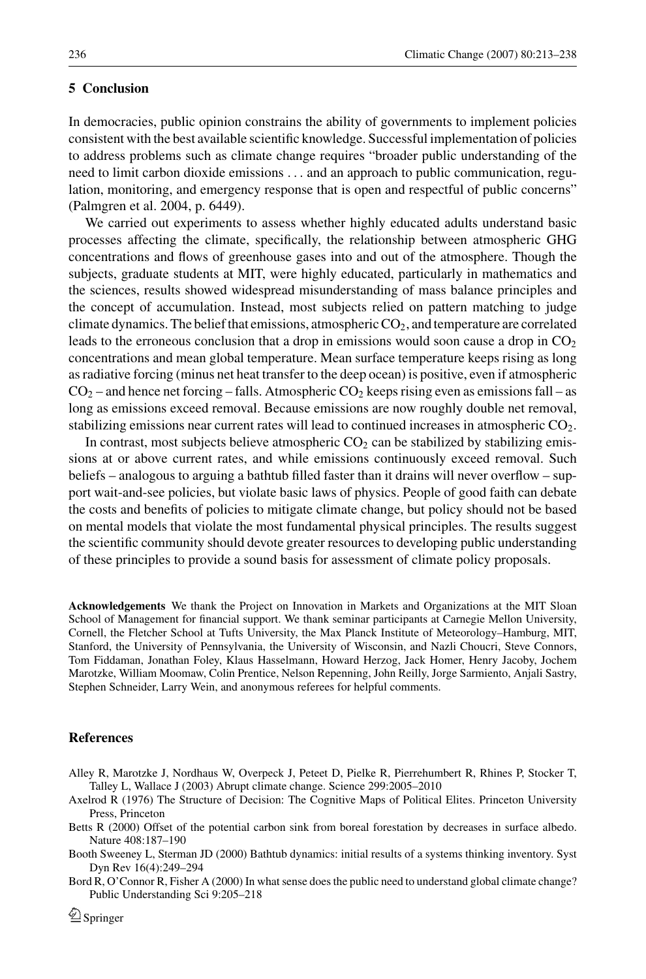#### **5 Conclusion**

In democracies, public opinion constrains the ability of governments to implement policies consistent with the best available scientific knowledge. Successful implementation of policies to address problems such as climate change requires "broader public understanding of the need to limit carbon dioxide emissions ... and an approach to public communication, regulation, monitoring, and emergency response that is open and respectful of public concerns" (Palmgren et al. 2004, p. 6449).

We carried out experiments to assess whether highly educated adults understand basic processes affecting the climate, specifically, the relationship between atmospheric GHG concentrations and flows of greenhouse gases into and out of the atmosphere. Though the subjects, graduate students at MIT, were highly educated, particularly in mathematics and the sciences, results showed widespread misunderstanding of mass balance principles and the concept of accumulation. Instead, most subjects relied on pattern matching to judge climate dynamics. The belief that emissions, atmospheric  $CO<sub>2</sub>$ , and temperature are correlated leads to the erroneous conclusion that a drop in emissions would soon cause a drop in  $CO<sub>2</sub>$ concentrations and mean global temperature. Mean surface temperature keeps rising as long as radiative forcing (minus net heat transfer to the deep ocean) is positive, even if atmospheric  $CO<sub>2</sub>$  – and hence net forcing – falls. Atmospheric  $CO<sub>2</sub>$  keeps rising even as emissions fall – as long as emissions exceed removal. Because emissions are now roughly double net removal, stabilizing emissions near current rates will lead to continued increases in atmospheric  $CO<sub>2</sub>$ .

In contrast, most subjects believe atmospheric  $CO<sub>2</sub>$  can be stabilized by stabilizing emissions at or above current rates, and while emissions continuously exceed removal. Such beliefs – analogous to arguing a bathtub filled faster than it drains will never overflow – support wait-and-see policies, but violate basic laws of physics. People of good faith can debate the costs and benefits of policies to mitigate climate change, but policy should not be based on mental models that violate the most fundamental physical principles. The results suggest the scientific community should devote greater resources to developing public understanding of these principles to provide a sound basis for assessment of climate policy proposals.

**Acknowledgements** We thank the Project on Innovation in Markets and Organizations at the MIT Sloan School of Management for financial support. We thank seminar participants at Carnegie Mellon University, Cornell, the Fletcher School at Tufts University, the Max Planck Institute of Meteorology–Hamburg, MIT, Stanford, the University of Pennsylvania, the University of Wisconsin, and Nazli Choucri, Steve Connors, Tom Fiddaman, Jonathan Foley, Klaus Hasselmann, Howard Herzog, Jack Homer, Henry Jacoby, Jochem Marotzke, William Moomaw, Colin Prentice, Nelson Repenning, John Reilly, Jorge Sarmiento, Anjali Sastry, Stephen Schneider, Larry Wein, and anonymous referees for helpful comments.

#### **References**

- Alley R, Marotzke J, Nordhaus W, Overpeck J, Peteet D, Pielke R, Pierrehumbert R, Rhines P, Stocker T, Talley L, Wallace J (2003) Abrupt climate change. Science 299:2005–2010
- Axelrod R (1976) The Structure of Decision: The Cognitive Maps of Political Elites. Princeton University Press, Princeton
- Betts R (2000) Offset of the potential carbon sink from boreal forestation by decreases in surface albedo. Nature 408:187–190
- Booth Sweeney L, Sterman JD (2000) Bathtub dynamics: initial results of a systems thinking inventory. Syst Dyn Rev 16(4):249–294
- Bord R, O'Connor R, Fisher A (2000) In what sense does the public need to understand global climate change? Public Understanding Sci 9:205–218

 $\mathcal{Q}_{\text{Springer}}$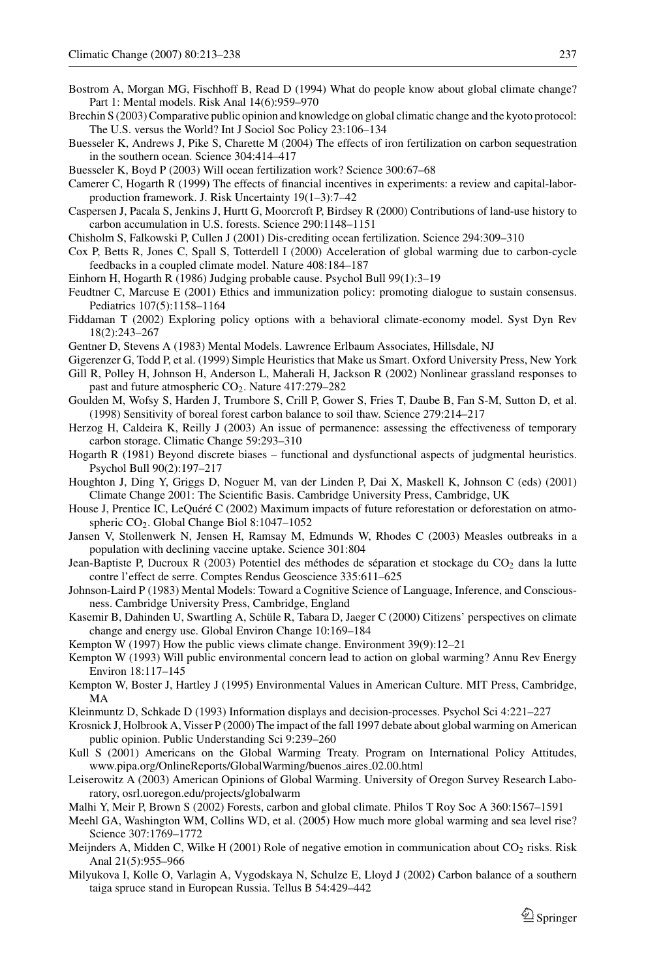Bostrom A, Morgan MG, Fischhoff B, Read D (1994) What do people know about global climate change? Part 1: Mental models. Risk Anal 14(6):959–970

Brechin S (2003) Comparative public opinion and knowledge on global climatic change and the kyoto protocol: The U.S. versus the World? Int J Sociol Soc Policy 23:106–134

Buesseler K, Andrews J, Pike S, Charette M (2004) The effects of iron fertilization on carbon sequestration in the southern ocean. Science 304:414–417

Buesseler K, Boyd P (2003) Will ocean fertilization work? Science 300:67–68

Camerer C, Hogarth R (1999) The effects of financial incentives in experiments: a review and capital-laborproduction framework. J. Risk Uncertainty 19(1–3):7–42

Caspersen J, Pacala S, Jenkins J, Hurtt G, Moorcroft P, Birdsey R (2000) Contributions of land-use history to carbon accumulation in U.S. forests. Science 290:1148–1151

Chisholm S, Falkowski P, Cullen J (2001) Dis-crediting ocean fertilization. Science 294:309–310

Cox P, Betts R, Jones C, Spall S, Totterdell I (2000) Acceleration of global warming due to carbon-cycle feedbacks in a coupled climate model. Nature 408:184–187

Einhorn H, Hogarth R (1986) Judging probable cause. Psychol Bull 99(1):3–19

- Feudtner C, Marcuse E (2001) Ethics and immunization policy: promoting dialogue to sustain consensus. Pediatrics 107(5):1158–1164
- Fiddaman T (2002) Exploring policy options with a behavioral climate-economy model. Syst Dyn Rev 18(2):243–267
- Gentner D, Stevens A (1983) Mental Models. Lawrence Erlbaum Associates, Hillsdale, NJ
- Gigerenzer G, Todd P, et al. (1999) Simple Heuristics that Make us Smart. Oxford University Press, New York Gill R, Polley H, Johnson H, Anderson L, Maherali H, Jackson R (2002) Nonlinear grassland responses to past and future atmospheric  $CO<sub>2</sub>$ . Nature 417:279–282
- Goulden M, Wofsy S, Harden J, Trumbore S, Crill P, Gower S, Fries T, Daube B, Fan S-M, Sutton D, et al. (1998) Sensitivity of boreal forest carbon balance to soil thaw. Science 279:214–217
- Herzog H, Caldeira K, Reilly J (2003) An issue of permanence: assessing the effectiveness of temporary carbon storage. Climatic Change 59:293–310
- Hogarth R (1981) Beyond discrete biases functional and dysfunctional aspects of judgmental heuristics. Psychol Bull 90(2):197–217
- Houghton J, Ding Y, Griggs D, Noguer M, van der Linden P, Dai X, Maskell K, Johnson C (eds) (2001) Climate Change 2001: The Scientific Basis. Cambridge University Press, Cambridge, UK
- House J, Prentice IC, LeQuéré C (2002) Maximum impacts of future reforestation or deforestation on atmospheric CO2. Global Change Biol 8:1047–1052
- Jansen V, Stollenwerk N, Jensen H, Ramsay M, Edmunds W, Rhodes C (2003) Measles outbreaks in a population with declining vaccine uptake. Science 301:804
- Jean-Baptiste P, Ducroux R (2003) Potentiel des méthodes de séparation et stockage du  $CO<sub>2</sub>$  dans la lutte contre l'effect de serre. Comptes Rendus Geoscience 335:611–625
- Johnson-Laird P (1983) Mental Models: Toward a Cognitive Science of Language, Inference, and Consciousness. Cambridge University Press, Cambridge, England
- Kasemir B, Dahinden U, Swartling A, Schüle R, Tabara D, Jaeger C (2000) Citizens' perspectives on climate change and energy use. Global Environ Change 10:169–184
- Kempton W (1997) How the public views climate change. Environment 39(9):12–21
- Kempton W (1993) Will public environmental concern lead to action on global warming? Annu Rev Energy Environ 18:117–145
- Kempton W, Boster J, Hartley J (1995) Environmental Values in American Culture. MIT Press, Cambridge, MA
- Kleinmuntz D, Schkade D (1993) Information displays and decision-processes. Psychol Sci 4:221–227
- Krosnick J, Holbrook A, Visser P (2000) The impact of the fall 1997 debate about global warming on American public opinion. Public Understanding Sci 9:239–260
- Kull S (2001) Americans on the Global Warming Treaty. Program on International Policy Attitudes, www.pipa.org/OnlineReports/GlobalWarming/buenos aires 02.00.html
- Leiserowitz A (2003) American Opinions of Global Warming. University of Oregon Survey Research Laboratory, osrl.uoregon.edu/projects/globalwarm
- Malhi Y, Meir P, Brown S (2002) Forests, carbon and global climate. Philos T Roy Soc A 360:1567–1591
- Meehl GA, Washington WM, Collins WD, et al. (2005) How much more global warming and sea level rise? Science 307:1769–1772
- Meijnders A, Midden C, Wilke H (2001) Role of negative emotion in communication about  $CO<sub>2</sub>$  risks. Risk Anal 21(5):955–966
- Milyukova I, Kolle O, Varlagin A, Vygodskaya N, Schulze E, Lloyd J (2002) Carbon balance of a southern taiga spruce stand in European Russia. Tellus B 54:429–442